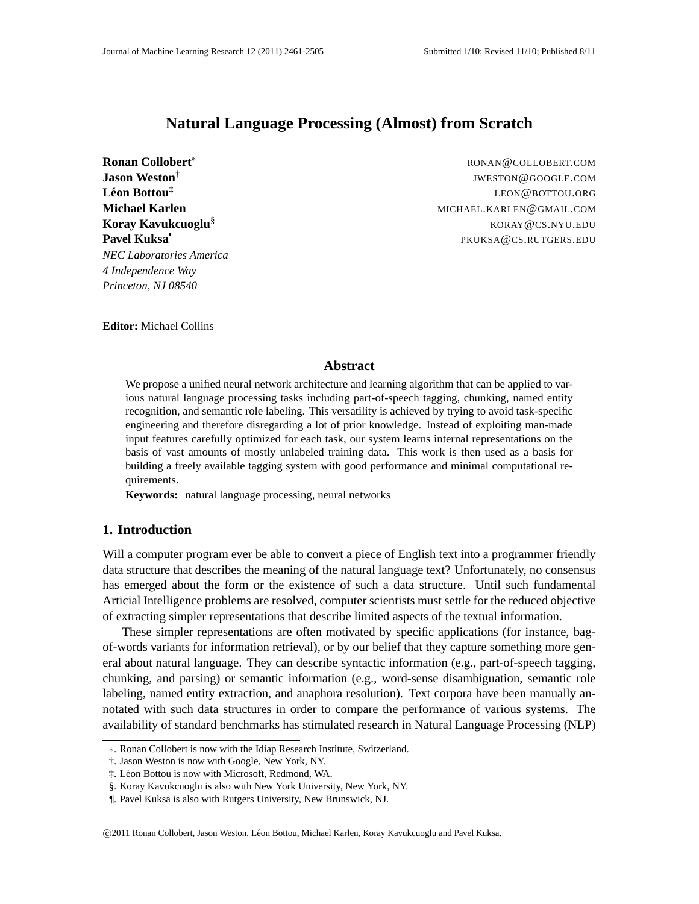# **Natural Language Processing (Almost) from Scratch**

**Jason Weston**† **Leon Bottou ´** ‡ **Pavel Kuksa**¶ *NEC Laboratories America 4 Independence Way Princeton, NJ 08540*

**Ronan Collobert**\* And The Collobert RONAN©COLLOBERT.COM JWESTON@GOOGLE.COM LEON@BOTTOU.ORG **Michael Karlen** MICHAEL.KARLEN@GMAIL.COM **Koray Kavukcuoglu<sup>§</sup> Koray Kavukcuoglu**s Koray **Koray Kavukcuoglu**s Koray **Koray Musulman** PKUKSA@CS.RUTGERS.EDU

**Editor:** Michael Collins

## **Abstract**

We propose a unified neural network architecture and learning algorithm that can be applied to various natural language processing tasks including part-of-speech tagging, chunking, named entity recognition, and semantic role labeling. This versatility is achieved by trying to avoid task-specific engineering and therefore disregarding a lot of prior knowledge. Instead of exploiting man-made input features carefully optimized for each task, our system learns internal representations on the basis of vast amounts of mostly unlabeled training data. This work is then used as a basis for building a freely available tagging system with good performance and minimal computational requirements.

**Keywords:** natural language processing, neural networks

## **1. Introduction**

Will a computer program ever be able to convert a piece of English text into a programmer friendly data structure that describes the meaning of the natural language text? Unfortunately, no consensus has emerged about the form or the existence of such a data structure. Until such fundamental Articial Intelligence problems are resolved, computer scientists must settle for the reduced objective of extracting simpler representations that describe limited aspects of the textual information.

These simpler representations are often motivated by specific applications (for instance, bagof-words variants for information retrieval), or by our belief that they capture something more general about natural language. They can describe syntactic information (e.g., part-of-speech tagging, chunking, and parsing) or semantic information (e.g., word-sense disambiguation, semantic role labeling, named entity extraction, and anaphora resolution). Text corpora have been manually annotated with such data structures in order to compare the performance of various systems. The availability of standard benchmarks has stimulated research in Natural Language Processing (NLP)

<sup>∗</sup>. Ronan Collobert is now with the Idiap Research Institute, Switzerland.

<sup>†.</sup> Jason Weston is now with Google, New York, NY.

 $\ddagger$ . Léon Bottou is now with Microsoft, Redmond, WA.

<sup>§.</sup> Koray Kavukcuoglu is also with New York University, New York, NY.

<sup>¶.</sup> Pavel Kuksa is also with Rutgers University, New Brunswick, NJ.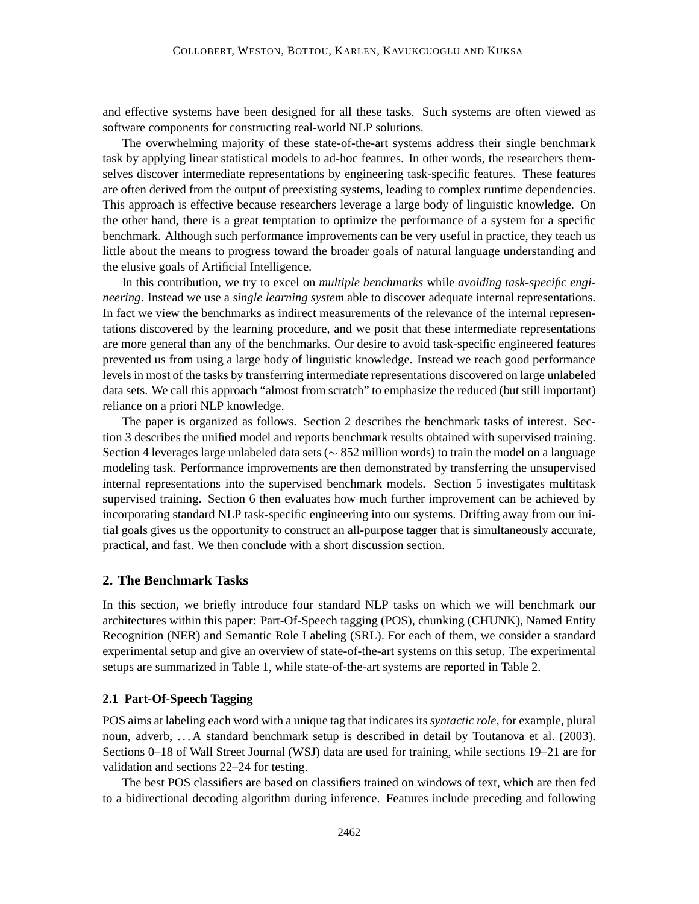and effective systems have been designed for all these tasks. Such systems are often viewed as software components for constructing real-world NLP solutions.

The overwhelming majority of these state-of-the-art systems address their single benchmark task by applying linear statistical models to ad-hoc features. In other words, the researchers themselves discover intermediate representations by engineering task-specific features. These features are often derived from the output of preexisting systems, leading to complex runtime dependencies. This approach is effective because researchers leverage a large body of linguistic knowledge. On the other hand, there is a great temptation to optimize the performance of a system for a specific benchmark. Although such performance improvements can be very useful in practice, they teach us little about the means to progress toward the broader goals of natural language understanding and the elusive goals of Artificial Intelligence.

In this contribution, we try to excel on *multiple benchmarks* while *avoiding task-specific engineering*. Instead we use a *single learning system* able to discover adequate internal representations. In fact we view the benchmarks as indirect measurements of the relevance of the internal representations discovered by the learning procedure, and we posit that these intermediate representations are more general than any of the benchmarks. Our desire to avoid task-specific engineered features prevented us from using a large body of linguistic knowledge. Instead we reach good performance levels in most of the tasks by transferring intermediate representations discovered on large unlabeled data sets. We call this approach "almost from scratch" to emphasize the reduced (but still important) reliance on a priori NLP knowledge.

The paper is organized as follows. Section 2 describes the benchmark tasks of interest. Section 3 describes the unified model and reports benchmark results obtained with supervised training. Section 4 leverages large unlabeled data sets (∼ 852 million words) to train the model on a language modeling task. Performance improvements are then demonstrated by transferring the unsupervised internal representations into the supervised benchmark models. Section 5 investigates multitask supervised training. Section 6 then evaluates how much further improvement can be achieved by incorporating standard NLP task-specific engineering into our systems. Drifting away from our initial goals gives us the opportunity to construct an all-purpose tagger that is simultaneously accurate, practical, and fast. We then conclude with a short discussion section.

## **2. The Benchmark Tasks**

In this section, we briefly introduce four standard NLP tasks on which we will benchmark our architectures within this paper: Part-Of-Speech tagging (POS), chunking (CHUNK), Named Entity Recognition (NER) and Semantic Role Labeling (SRL). For each of them, we consider a standard experimental setup and give an overview of state-of-the-art systems on this setup. The experimental setups are summarized in Table 1, while state-of-the-art systems are reported in Table 2.

## **2.1 Part-Of-Speech Tagging**

POS aims at labeling each word with a unique tag that indicates its *syntactic role*, for example, plural noun, adverb, ... A standard benchmark setup is described in detail by Toutanova et al. (2003). Sections 0–18 of Wall Street Journal (WSJ) data are used for training, while sections 19–21 are for validation and sections 22–24 for testing.

The best POS classifiers are based on classifiers trained on windows of text, which are then fed to a bidirectional decoding algorithm during inference. Features include preceding and following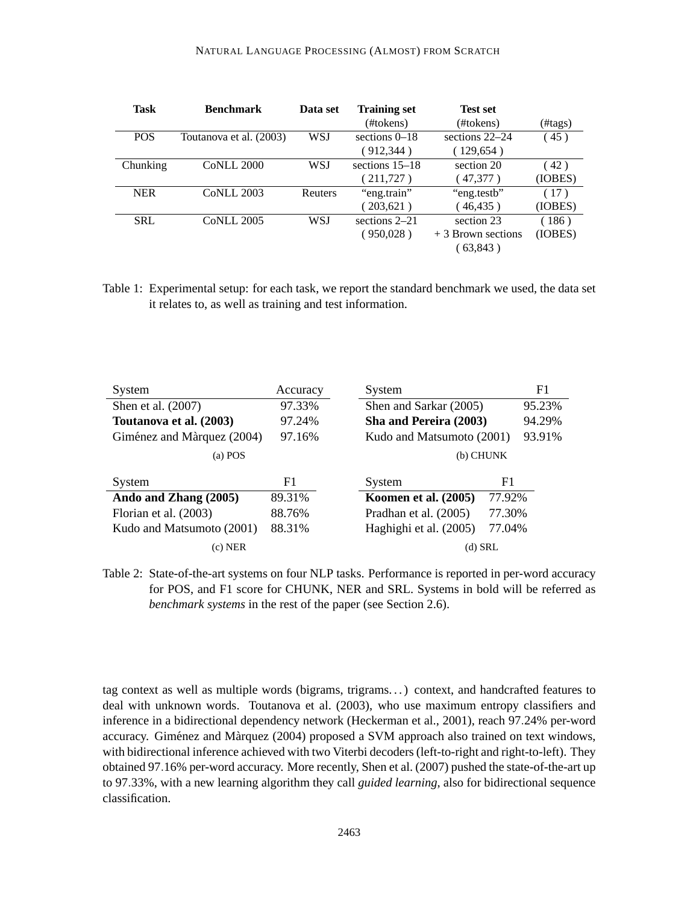#### NATURAL LANGUAGE PROCESSING (ALMOST) FROM SCRATCH

| <b>Task</b> | <b>Benchmark</b>        | Data set       | <b>Training set</b> | <b>Test set</b>     |         |
|-------------|-------------------------|----------------|---------------------|---------------------|---------|
|             |                         |                | (#tokens)           | (#tokens)           | (#tags) |
| <b>POS</b>  | Toutanova et al. (2003) | WSJ            | sections $0-18$     | sections 22–24      | (45)    |
|             |                         |                | (912, 344)          | (129,654)           |         |
| Chunking    | <b>CoNLL 2000</b>       | WSJ            | sections $15-18$    | section 20          | (42)    |
|             |                         |                | (211,727)           | (47,377)            | (IOBES) |
| <b>NER</b>  | <b>CoNLL 2003</b>       | <b>Reuters</b> | "eng.train"         | "eng.testb"         | (17)    |
|             |                         |                | $203,621$ )         | (46, 435)           | (IOBES) |
| <b>SRL</b>  | <b>CoNLL 2005</b>       | WSJ            | sections $2-21$     | section 23          | (186)   |
|             |                         |                | (950,028)           | $+3$ Brown sections | (IOBES) |
|             |                         |                |                     | (63,843)            |         |

Table 1: Experimental setup: for each task, we report the standard benchmark we used, the data set it relates to, as well as training and test information.

| System                     | Accuracy | System                    |        | F <sub>1</sub> |
|----------------------------|----------|---------------------------|--------|----------------|
| Shen et al. (2007)         | 97.33%   | Shen and Sarkar (2005)    |        | 95.23%         |
| Toutanova et al. (2003)    | 97.24%   | Sha and Pereira (2003)    |        | 94.29%         |
| Giménez and Màrquez (2004) | 97.16%   | Kudo and Matsumoto (2001) |        | 93.91%         |
| (a) POS                    |          | (b) CHUNK                 |        |                |
| System                     | F1       | System                    | F1     |                |
| Ando and Zhang (2005)      | 89.31%   | Koomen et al. (2005)      | 77.92% |                |
| Florian et al. (2003)      | 88.76%   | Pradhan et al. (2005)     | 77.30% |                |
| Kudo and Matsumoto (2001)  | 88.31%   | Haghighi et al. (2005)    | 77.04% |                |
| $(c)$ NER                  |          | $(d)$ SRL                 |        |                |

Table 2: State-of-the-art systems on four NLP tasks. Performance is reported in per-word accuracy for POS, and F1 score for CHUNK, NER and SRL. Systems in bold will be referred as *benchmark systems* in the rest of the paper (see Section 2.6).

tag context as well as multiple words (bigrams, trigrams. . . ) context, and handcrafted features to deal with unknown words. Toutanova et al. (2003), who use maximum entropy classifiers and inference in a bidirectional dependency network (Heckerman et al., 2001), reach 97.24% per-word accuracy. Giménez and Màrquez (2004) proposed a SVM approach also trained on text windows, with bidirectional inference achieved with two Viterbi decoders (left-to-right and right-to-left). They obtained 97.16% per-word accuracy. More recently, Shen et al. (2007) pushed the state-of-the-art up to 97.33%, with a new learning algorithm they call *guided learning*, also for bidirectional sequence classification.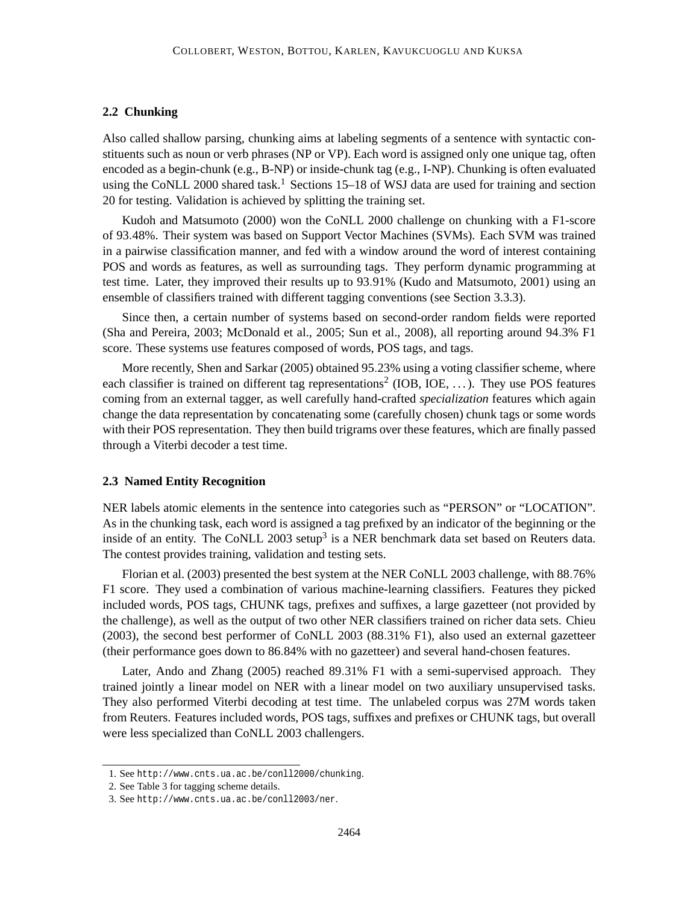## **2.2 Chunking**

Also called shallow parsing, chunking aims at labeling segments of a sentence with syntactic constituents such as noun or verb phrases (NP or VP). Each word is assigned only one unique tag, often encoded as a begin-chunk (e.g., B-NP) or inside-chunk tag (e.g., I-NP). Chunking is often evaluated using the CoNLL 2000 shared task.<sup>1</sup> Sections  $15-18$  of WSJ data are used for training and section 20 for testing. Validation is achieved by splitting the training set.

Kudoh and Matsumoto (2000) won the CoNLL 2000 challenge on chunking with a F1-score of 93.48%. Their system was based on Support Vector Machines (SVMs). Each SVM was trained in a pairwise classification manner, and fed with a window around the word of interest containing POS and words as features, as well as surrounding tags. They perform dynamic programming at test time. Later, they improved their results up to 93.91% (Kudo and Matsumoto, 2001) using an ensemble of classifiers trained with different tagging conventions (see Section 3.3.3).

Since then, a certain number of systems based on second-order random fields were reported (Sha and Pereira, 2003; McDonald et al., 2005; Sun et al., 2008), all reporting around 94.3% F1 score. These systems use features composed of words, POS tags, and tags.

More recently, Shen and Sarkar (2005) obtained 95.23% using a voting classifier scheme, where each classifier is trained on different tag representations<sup>2</sup> (IOB, IOE, ...). They use POS features coming from an external tagger, as well carefully hand-crafted *specialization* features which again change the data representation by concatenating some (carefully chosen) chunk tags or some words with their POS representation. They then build trigrams over these features, which are finally passed through a Viterbi decoder a test time.

#### **2.3 Named Entity Recognition**

NER labels atomic elements in the sentence into categories such as "PERSON" or "LOCATION". As in the chunking task, each word is assigned a tag prefixed by an indicator of the beginning or the inside of an entity. The CoNLL 2003 setup<sup>3</sup> is a NER benchmark data set based on Reuters data. The contest provides training, validation and testing sets.

Florian et al. (2003) presented the best system at the NER CoNLL 2003 challenge, with 88.76% F1 score. They used a combination of various machine-learning classifiers. Features they picked included words, POS tags, CHUNK tags, prefixes and suffixes, a large gazetteer (not provided by the challenge), as well as the output of two other NER classifiers trained on richer data sets. Chieu (2003), the second best performer of CoNLL 2003 (88.31% F1), also used an external gazetteer (their performance goes down to 86.84% with no gazetteer) and several hand-chosen features.

Later, Ando and Zhang (2005) reached 89.31% F1 with a semi-supervised approach. They trained jointly a linear model on NER with a linear model on two auxiliary unsupervised tasks. They also performed Viterbi decoding at test time. The unlabeled corpus was 27M words taken from Reuters. Features included words, POS tags, suffixes and prefixes or CHUNK tags, but overall were less specialized than CoNLL 2003 challengers.

<sup>1.</sup> See http://www.cnts.ua.ac.be/conll2000/chunking.

<sup>2.</sup> See Table 3 for tagging scheme details.

<sup>3.</sup> See http://www.cnts.ua.ac.be/conll2003/ner.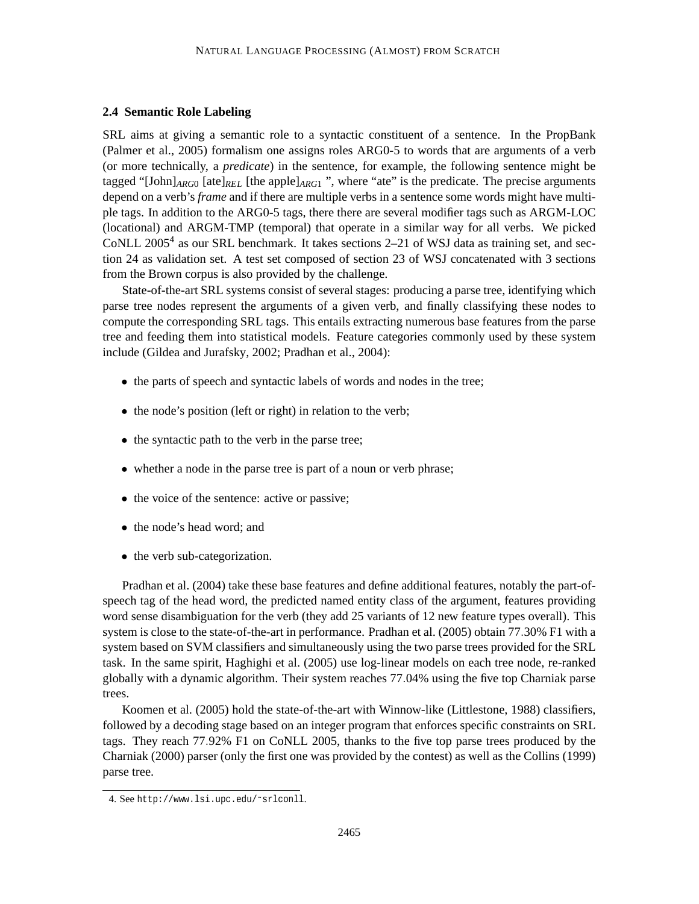## **2.4 Semantic Role Labeling**

SRL aims at giving a semantic role to a syntactic constituent of a sentence. In the PropBank (Palmer et al., 2005) formalism one assigns roles ARG0-5 to words that are arguments of a verb (or more technically, a *predicate*) in the sentence, for example, the following sentence might be tagged "[John]*ARG*<sup>0</sup> [ate]*REL* [the apple]*ARG*<sup>1</sup> ", where "ate" is the predicate. The precise arguments depend on a verb's *frame* and if there are multiple verbs in a sentence some words might have multiple tags. In addition to the ARG0-5 tags, there there are several modifier tags such as ARGM-LOC (locational) and ARGM-TMP (temporal) that operate in a similar way for all verbs. We picked CoNLL 2005<sup>4</sup> as our SRL benchmark. It takes sections 2-21 of WSJ data as training set, and section 24 as validation set. A test set composed of section 23 of WSJ concatenated with 3 sections from the Brown corpus is also provided by the challenge.

State-of-the-art SRL systems consist of several stages: producing a parse tree, identifying which parse tree nodes represent the arguments of a given verb, and finally classifying these nodes to compute the corresponding SRL tags. This entails extracting numerous base features from the parse tree and feeding them into statistical models. Feature categories commonly used by these system include (Gildea and Jurafsky, 2002; Pradhan et al., 2004):

- the parts of speech and syntactic labels of words and nodes in the tree;
- the node's position (left or right) in relation to the verb;
- the syntactic path to the verb in the parse tree;
- whether a node in the parse tree is part of a noun or verb phrase;
- the voice of the sentence: active or passive;
- the node's head word; and
- the verb sub-categorization.

Pradhan et al. (2004) take these base features and define additional features, notably the part-ofspeech tag of the head word, the predicted named entity class of the argument, features providing word sense disambiguation for the verb (they add 25 variants of 12 new feature types overall). This system is close to the state-of-the-art in performance. Pradhan et al. (2005) obtain 77.30% F1 with a system based on SVM classifiers and simultaneously using the two parse trees provided for the SRL task. In the same spirit, Haghighi et al. (2005) use log-linear models on each tree node, re-ranked globally with a dynamic algorithm. Their system reaches 77.04% using the five top Charniak parse trees.

Koomen et al. (2005) hold the state-of-the-art with Winnow-like (Littlestone, 1988) classifiers, followed by a decoding stage based on an integer program that enforces specific constraints on SRL tags. They reach 77.92% F1 on CoNLL 2005, thanks to the five top parse trees produced by the Charniak (2000) parser (only the first one was provided by the contest) as well as the Collins (1999) parse tree.

<sup>4.</sup> See http://www.lsi.upc.edu/˜srlconll.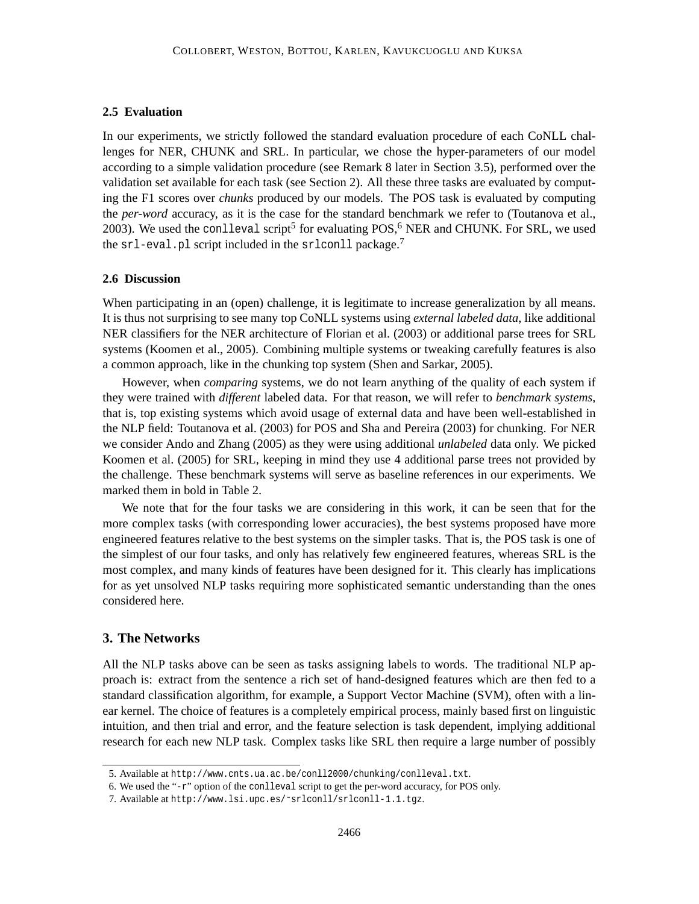## **2.5 Evaluation**

In our experiments, we strictly followed the standard evaluation procedure of each CoNLL challenges for NER, CHUNK and SRL. In particular, we chose the hyper-parameters of our model according to a simple validation procedure (see Remark 8 later in Section 3.5), performed over the validation set available for each task (see Section 2). All these three tasks are evaluated by computing the F1 scores over *chunks* produced by our models. The POS task is evaluated by computing the *per-word* accuracy, as it is the case for the standard benchmark we refer to (Toutanova et al., 2003). We used the conlleval script<sup>5</sup> for evaluating  $POS<sup>6</sup>$  NER and CHUNK. For SRL, we used the  $sr1$ -eval.pl script included in the srlconll package.<sup>7</sup>

### **2.6 Discussion**

When participating in an (open) challenge, it is legitimate to increase generalization by all means. It is thus not surprising to see many top CoNLL systems using *external labeled data*, like additional NER classifiers for the NER architecture of Florian et al. (2003) or additional parse trees for SRL systems (Koomen et al., 2005). Combining multiple systems or tweaking carefully features is also a common approach, like in the chunking top system (Shen and Sarkar, 2005).

However, when *comparing* systems, we do not learn anything of the quality of each system if they were trained with *different* labeled data. For that reason, we will refer to *benchmark systems*, that is, top existing systems which avoid usage of external data and have been well-established in the NLP field: Toutanova et al. (2003) for POS and Sha and Pereira (2003) for chunking. For NER we consider Ando and Zhang (2005) as they were using additional *unlabeled* data only. We picked Koomen et al. (2005) for SRL, keeping in mind they use 4 additional parse trees not provided by the challenge. These benchmark systems will serve as baseline references in our experiments. We marked them in bold in Table 2.

We note that for the four tasks we are considering in this work, it can be seen that for the more complex tasks (with corresponding lower accuracies), the best systems proposed have more engineered features relative to the best systems on the simpler tasks. That is, the POS task is one of the simplest of our four tasks, and only has relatively few engineered features, whereas SRL is the most complex, and many kinds of features have been designed for it. This clearly has implications for as yet unsolved NLP tasks requiring more sophisticated semantic understanding than the ones considered here.

## **3. The Networks**

All the NLP tasks above can be seen as tasks assigning labels to words. The traditional NLP approach is: extract from the sentence a rich set of hand-designed features which are then fed to a standard classification algorithm, for example, a Support Vector Machine (SVM), often with a linear kernel. The choice of features is a completely empirical process, mainly based first on linguistic intuition, and then trial and error, and the feature selection is task dependent, implying additional research for each new NLP task. Complex tasks like SRL then require a large number of possibly

<sup>5.</sup> Available at http://www.cnts.ua.ac.be/conll2000/chunking/conlleval.txt.

<sup>6.</sup> We used the "-r" option of the conlleval script to get the per-word accuracy, for POS only.

<sup>7.</sup> Available at http://www.lsi.upc.es/˜srlconll/srlconll-1.1.tgz.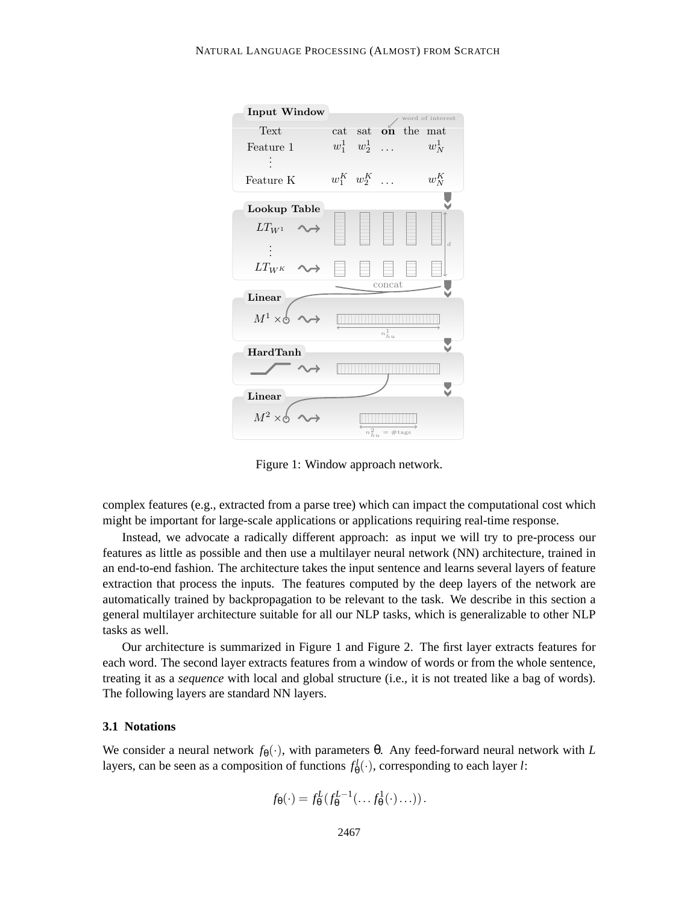

Figure 1: Window approach network.

complex features (e.g., extracted from a parse tree) which can impact the computational cost which might be important for large-scale applications or applications requiring real-time response.

Instead, we advocate a radically different approach: as input we will try to pre-process our features as little as possible and then use a multilayer neural network (NN) architecture, trained in an end-to-end fashion. The architecture takes the input sentence and learns several layers of feature extraction that process the inputs. The features computed by the deep layers of the network are automatically trained by backpropagation to be relevant to the task. We describe in this section a general multilayer architecture suitable for all our NLP tasks, which is generalizable to other NLP tasks as well.

Our architecture is summarized in Figure 1 and Figure 2. The first layer extracts features for each word. The second layer extracts features from a window of words or from the whole sentence, treating it as a *sequence* with local and global structure (i.e., it is not treated like a bag of words). The following layers are standard NN layers.

## **3.1 Notations**

We consider a neural network  $f_{\theta}(\cdot)$ , with parameters θ. Any feed-forward neural network with *L* layers, can be seen as a composition of functions  $f_{\theta}^{l}(\cdot)$ , corresponding to each layer *l*:

$$
f_{\theta}(\cdot) = f_{\theta}^{L}(f_{\theta}^{L-1}(\ldots f_{\theta}^{1}(\cdot)\ldots)).
$$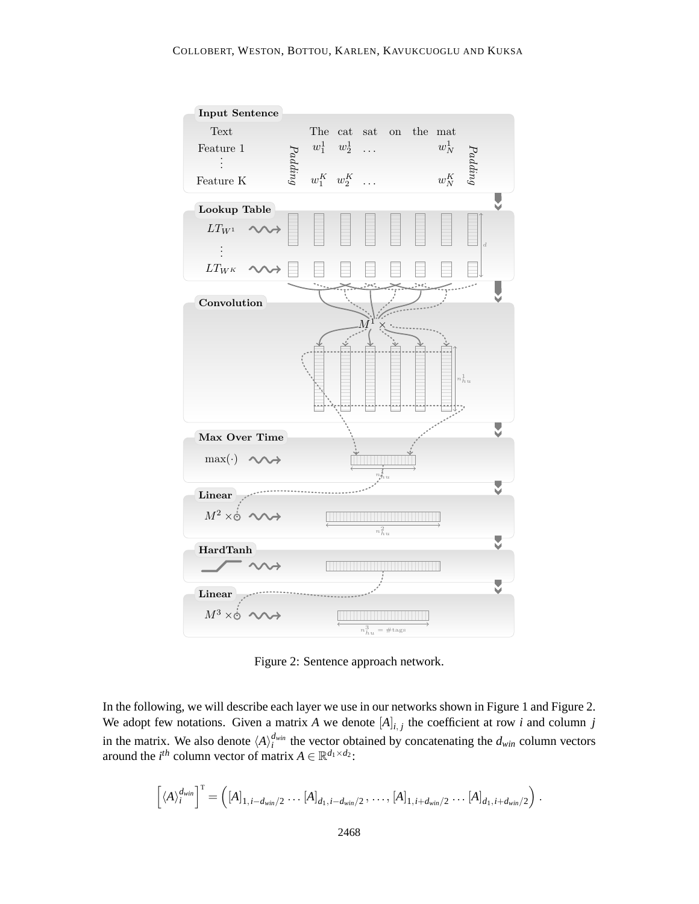

Figure 2: Sentence approach network.

In the following, we will describe each layer we use in our networks shown in Figure 1 and Figure 2. We adopt few notations. Given a matrix A we denote  $[A]_{i,j}$  the coefficient at row *i* and column *j* in the matrix. We also denote  $\langle A \rangle_i^{d_{win}}$  the vector obtained by concatenating the  $d_{win}$  column vectors around the *i*<sup>th</sup> column vector of matrix  $A \in \mathbb{R}^{d_1 \times d_2}$ :

$$
\left[ \langle A \rangle_i^{d_{win}} \right]^{\mathrm{T}} = \left( [A]_{1,i-d_{win}/2} \ldots [A]_{d_1,i-d_{win}/2}, \ldots, [A]_{1,i+d_{win}/2} \ldots [A]_{d_1,i+d_{win}/2} \right).
$$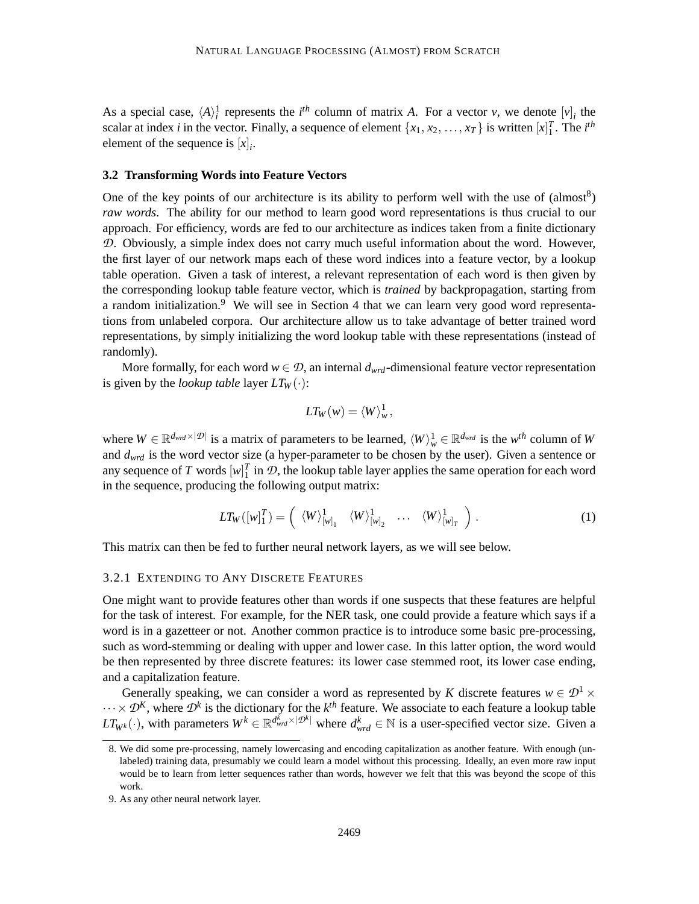As a special case,  $\langle A \rangle_i^1$  represents the *i*<sup>th</sup> column of matrix *A*. For a vector *v*, we denote  $[v]_i$  the scalar at index *i* in the vector. Finally, a sequence of element  $\{x_1, x_2, \ldots, x_T\}$  is written  $[x]_1^T$ . The *i*<sup>th</sup> element of the sequence is  $[x]_i$ .

#### **3.2 Transforming Words into Feature Vectors**

One of the key points of our architecture is its ability to perform well with the use of  $(\text{almost}^8)$ *raw words*. The ability for our method to learn good word representations is thus crucial to our approach. For efficiency, words are fed to our architecture as indices taken from a finite dictionary *D*. Obviously, a simple index does not carry much useful information about the word. However, the first layer of our network maps each of these word indices into a feature vector, by a lookup table operation. Given a task of interest, a relevant representation of each word is then given by the corresponding lookup table feature vector, which is *trained* by backpropagation, starting from a random initialization.<sup>9</sup> We will see in Section 4 that we can learn very good word representations from unlabeled corpora. Our architecture allow us to take advantage of better trained word representations, by simply initializing the word lookup table with these representations (instead of randomly).

More formally, for each word  $w \in \mathcal{D}$ , an internal  $d_{wrd}$ -dimensional feature vector representation is given by the *lookup table* layer  $LT_W(\cdot)$ :

$$
LT_W(w) = \langle W \rangle^1_w,
$$

where  $W \in \mathbb{R}^{d_{wrd} \times |\mathcal{D}|}$  is a matrix of parameters to be learned,  $\langle W \rangle^1_w \in \mathbb{R}^{d_{wrd}}$  is the  $w^{th}$  column of  $W$ and *dwrd* is the word vector size (a hyper-parameter to be chosen by the user). Given a sentence or any sequence of *T* words  $[w]_1^T$  in  $\mathcal{D}$ , the lookup table layer applies the same operation for each word in the sequence, producing the following output matrix:

$$
LT_W([w]_1^T) = \left(\langle W \rangle^1_{[w]_1} \langle W \rangle^1_{[w]_2} \cdots \langle W \rangle^1_{[w]_T}\right).
$$
 (1)

This matrix can then be fed to further neural network layers, as we will see below.

#### 3.2.1 EXTENDING TO ANY DISCRETE FEATURES

One might want to provide features other than words if one suspects that these features are helpful for the task of interest. For example, for the NER task, one could provide a feature which says if a word is in a gazetteer or not. Another common practice is to introduce some basic pre-processing, such as word-stemming or dealing with upper and lower case. In this latter option, the word would be then represented by three discrete features: its lower case stemmed root, its lower case ending, and a capitalization feature.

Generally speaking, we can consider a word as represented by *K* discrete features  $w \in \mathcal{D}^1 \times$  $\cdots \times \mathcal{D}^K$ , where  $\mathcal{D}^k$  is the dictionary for the  $k^{th}$  feature. We associate to each feature a lookup table  $LT_{W^k}(\cdot)$ , with parameters  $W^k \in \mathbb{R}^{d_{wrd}^k \times |\mathcal{D}^k|}$  where  $d_{wrd}^k \in \mathbb{N}$  is a user-specified vector size. Given a

<sup>8.</sup> We did some pre-processing, namely lowercasing and encoding capitalization as another feature. With enough (unlabeled) training data, presumably we could learn a model without this processing. Ideally, an even more raw input would be to learn from letter sequences rather than words, however we felt that this was beyond the scope of this work.

<sup>9.</sup> As any other neural network layer.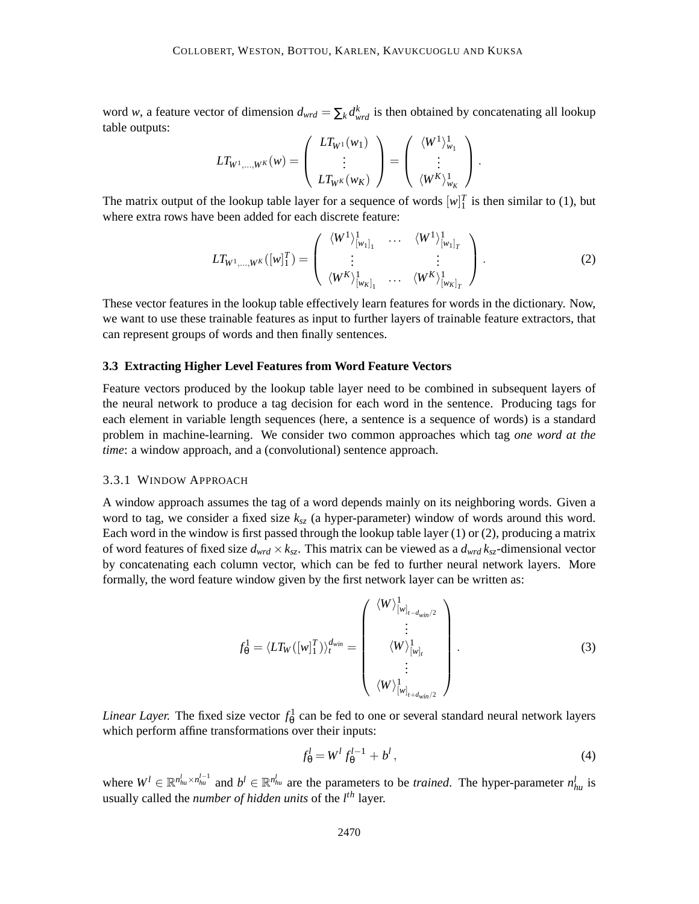word *w*, a feature vector of dimension  $d_{wrd} = \sum_k d_{wrd}^k$  is then obtained by concatenating all lookup table outputs:

$$
LT_{W^1,...,W^K}(w)=\left(\begin{array}{c}LT_{W^1}(w_1) \\ \vdots \\ LT_{W^K}(w_K)\end{array}\right)=\left(\begin{array}{c} \langle W^1\rangle_{w_1}^1 \\ \vdots \\ \langle W^K\rangle_{w_K}^1\end{array}\right)\,.
$$

The matrix output of the lookup table layer for a sequence of words  $[w]_1^T$  is then similar to (1), but where extra rows have been added for each discrete feature:

$$
LT_{W^1,\ldots,W^K}([w]_1^T) = \begin{pmatrix} \langle W^1 \rangle^1_{[w_1]_1} & \cdots & \langle W^1 \rangle^1_{[w_1]_T} \\ \vdots & & \vdots \\ \langle W^K \rangle^1_{[w_K]_1} & \cdots & \langle W^K \rangle^1_{[w_K]_T} \end{pmatrix} .
$$
 (2)

These vector features in the lookup table effectively learn features for words in the dictionary. Now, we want to use these trainable features as input to further layers of trainable feature extractors, that can represent groups of words and then finally sentences.

#### **3.3 Extracting Higher Level Features from Word Feature Vectors**

Feature vectors produced by the lookup table layer need to be combined in subsequent layers of the neural network to produce a tag decision for each word in the sentence. Producing tags for each element in variable length sequences (here, a sentence is a sequence of words) is a standard problem in machine-learning. We consider two common approaches which tag *one word at the time*: a window approach, and a (convolutional) sentence approach.

## 3.3.1 WINDOW APPROACH

A window approach assumes the tag of a word depends mainly on its neighboring words. Given a word to tag, we consider a fixed size *ksz* (a hyper-parameter) window of words around this word. Each word in the window is first passed through the lookup table layer (1) or (2), producing a matrix of word features of fixed size  $d_{wrd} \times k_{sz}$ . This matrix can be viewed as a  $d_{wrd} k_{sz}$ -dimensional vector by concatenating each column vector, which can be fed to further neural network layers. More formally, the word feature window given by the first network layer can be written as:

$$
f_{\theta}^{1} = \langle LT_{W}([w]_{1}^{T}) \rangle_{t}^{d_{win}} = \begin{pmatrix} \langle W \rangle_{[w]_{t-d_{win}/2}}^{1} \\ \vdots \\ \langle W \rangle_{[w]_{t}}^{1} \\ \vdots \\ \langle W \rangle_{[w]_{t+d_{win}/2}}^{1} \end{pmatrix} .
$$
 (3)

*Linear Layer.* The fixed size vector  $f_{\theta}^1$  can be fed to one or several standard neural network layers which perform affine transformations over their inputs:

$$
f_{\theta}^l = W^l f_{\theta}^{l-1} + b^l, \qquad (4)
$$

where  $W^l \in \mathbb{R}^{n_{hu}^l \times n_{hu}^{l-1}}$  and  $b^l \in \mathbb{R}^{n_{hu}^l}$  are the parameters to be *trained*. The hyper-parameter  $n_{hu}^l$  is usually called the *number of hidden units* of the *l th* layer.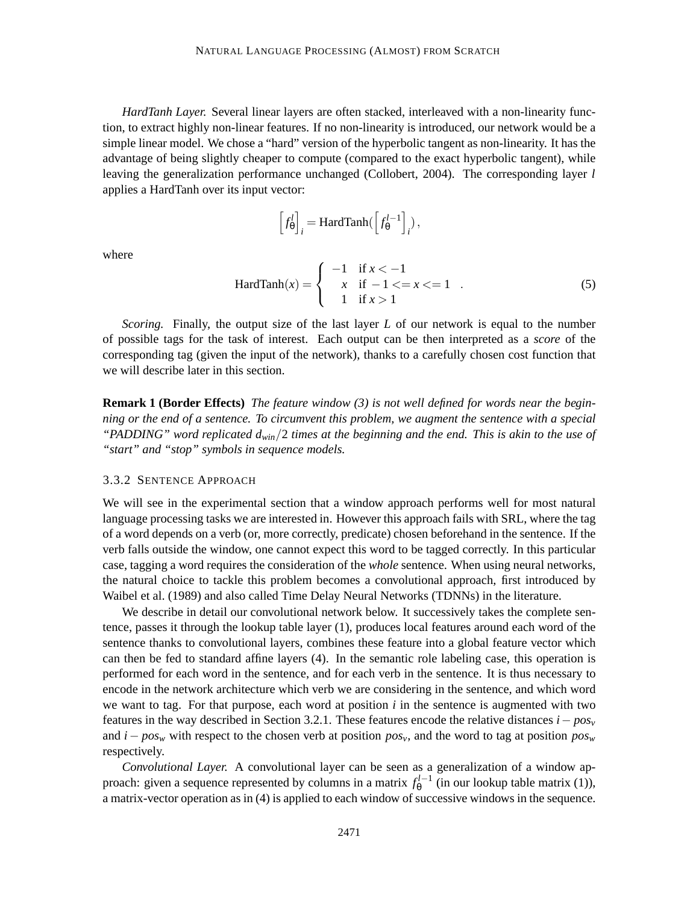*HardTanh Layer.* Several linear layers are often stacked, interleaved with a non-linearity function, to extract highly non-linear features. If no non-linearity is introduced, our network would be a simple linear model. We chose a "hard" version of the hyperbolic tangent as non-linearity. It has the advantage of being slightly cheaper to compute (compared to the exact hyperbolic tangent), while leaving the generalization performance unchanged (Collobert, 2004). The corresponding layer *l* applies a HardTanh over its input vector:

$$
\left[f_{\theta}^l\right]_i = \text{HardTanh}(\left[f_{\theta}^{l-1}\right]_i),
$$

where

$$
HardTanh(x) = \begin{cases} -1 & \text{if } x < -1 \\ x & \text{if } -1 < = x < = 1 \\ 1 & \text{if } x > 1 \end{cases}
$$
 (5)

*Scoring.* Finally, the output size of the last layer *L* of our network is equal to the number of possible tags for the task of interest. Each output can be then interpreted as a *score* of the corresponding tag (given the input of the network), thanks to a carefully chosen cost function that we will describe later in this section.

**Remark 1 (Border Effects)** *The feature window (3) is not well defined for words near the beginning or the end of a sentence. To circumvent this problem, we augment the sentence with a special "PADDING" word replicated dwin*/2 *times at the beginning and the end. This is akin to the use of "start" and "stop" symbols in sequence models.*

#### 3.3.2 SENTENCE APPROACH

We will see in the experimental section that a window approach performs well for most natural language processing tasks we are interested in. However this approach fails with SRL, where the tag of a word depends on a verb (or, more correctly, predicate) chosen beforehand in the sentence. If the verb falls outside the window, one cannot expect this word to be tagged correctly. In this particular case, tagging a word requires the consideration of the *whole* sentence. When using neural networks, the natural choice to tackle this problem becomes a convolutional approach, first introduced by Waibel et al. (1989) and also called Time Delay Neural Networks (TDNNs) in the literature.

We describe in detail our convolutional network below. It successively takes the complete sentence, passes it through the lookup table layer (1), produces local features around each word of the sentence thanks to convolutional layers, combines these feature into a global feature vector which can then be fed to standard affine layers (4). In the semantic role labeling case, this operation is performed for each word in the sentence, and for each verb in the sentence. It is thus necessary to encode in the network architecture which verb we are considering in the sentence, and which word we want to tag. For that purpose, each word at position *i* in the sentence is augmented with two features in the way described in Section 3.2.1. These features encode the relative distances *i*− *pos<sup>v</sup>* and *i*− *pos<sup>w</sup>* with respect to the chosen verb at position *posv*, and the word to tag at position *pos<sup>w</sup>* respectively.

*Convolutional Layer.* A convolutional layer can be seen as a generalization of a window approach: given a sequence represented by columns in a matrix  $f_{\theta}^{l-1}$  (in our lookup table matrix (1)), a matrix-vector operation as in (4) is applied to each window of successive windows in the sequence.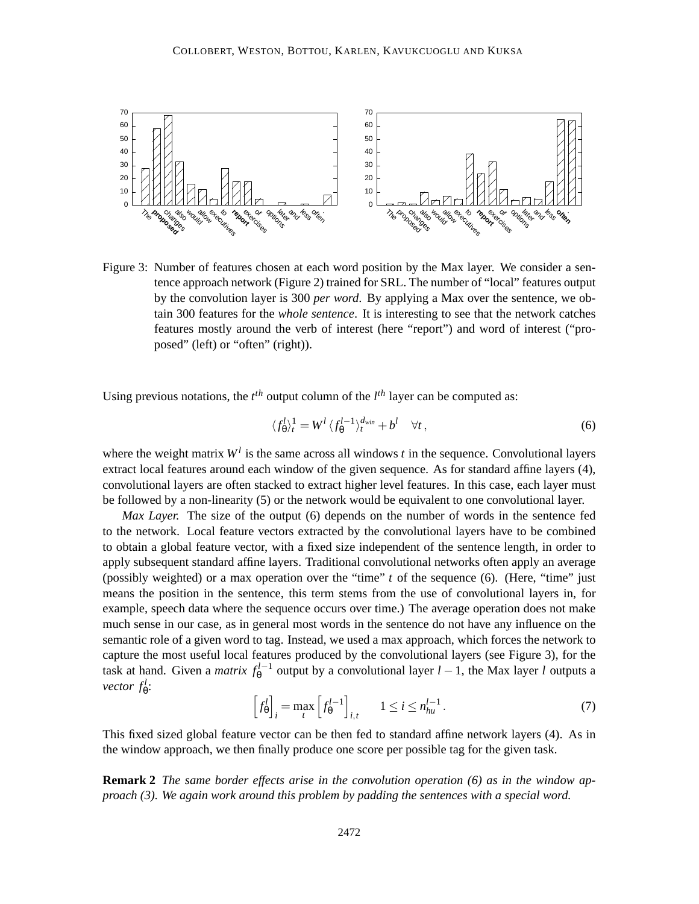

Figure 3: Number of features chosen at each word position by the Max layer. We consider a sentence approach network (Figure 2) trained for SRL. The number of "local" features output by the convolution layer is 300 *per word*. By applying a Max over the sentence, we obtain 300 features for the *whole sentence*. It is interesting to see that the network catches features mostly around the verb of interest (here "report") and word of interest ("proposed" (left) or "often" (right)).

Using previous notations, the  $t^{th}$  output column of the  $l^{th}$  layer can be computed as:

$$
\langle f_{\theta}^{l} \rangle_{t}^{1} = W^{l} \langle f_{\theta}^{l-1} \rangle_{t}^{d_{win}} + b^{l} \quad \forall t,
$$
\n
$$
(6)
$$

where the weight matrix  $W<sup>l</sup>$  is the same across all windows *t* in the sequence. Convolutional layers extract local features around each window of the given sequence. As for standard affine layers (4), convolutional layers are often stacked to extract higher level features. In this case, each layer must be followed by a non-linearity (5) or the network would be equivalent to one convolutional layer.

*Max Layer.* The size of the output (6) depends on the number of words in the sentence fed to the network. Local feature vectors extracted by the convolutional layers have to be combined to obtain a global feature vector, with a fixed size independent of the sentence length, in order to apply subsequent standard affine layers. Traditional convolutional networks often apply an average (possibly weighted) or a max operation over the "time" *t* of the sequence (6). (Here, "time" just means the position in the sentence, this term stems from the use of convolutional layers in, for example, speech data where the sequence occurs over time.) The average operation does not make much sense in our case, as in general most words in the sentence do not have any influence on the semantic role of a given word to tag. Instead, we used a max approach, which forces the network to capture the most useful local features produced by the convolutional layers (see Figure 3), for the task at hand. Given a *matrix*  $f_{\theta}^{l-1}$  output by a convolutional layer  $l-1$ , the Max layer *l* outputs a *vector*  $f^l_\theta$ :

$$
\left[f_{\theta}^{l}\right]_{i} = \max_{t} \left[f_{\theta}^{l-1}\right]_{i,t} \quad 1 \leq i \leq n_{hu}^{l-1} \,. \tag{7}
$$

This fixed sized global feature vector can be then fed to standard affine network layers (4). As in the window approach, we then finally produce one score per possible tag for the given task.

**Remark 2** *The same border effects arise in the convolution operation (6) as in the window approach (3). We again work around this problem by padding the sentences with a special word.*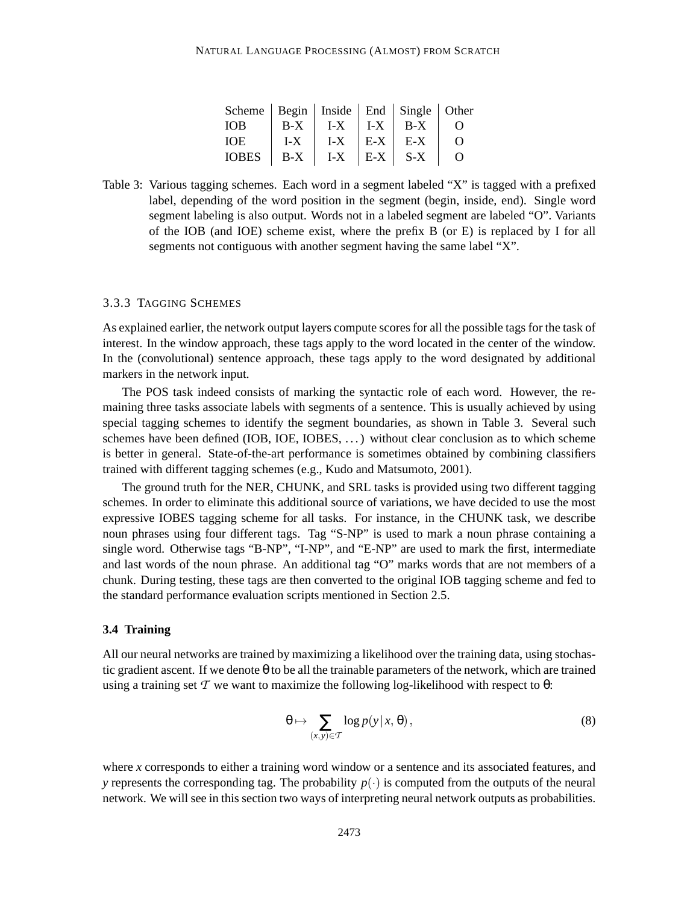| Scheme   Begin   Inside   End   Single   Other |       |                   |           |                  |
|------------------------------------------------|-------|-------------------|-----------|------------------|
| IOB.                                           | B-X   | $I-X + I-X + B-X$ |           | $\left( \right)$ |
| IOE.                                           | $I-X$ | $I-X$ $E-X$ $E-X$ |           | $\Omega$         |
| <b>IOBES</b>                                   | $B-X$ | $I-X$             | $E-X$ S-X | $\Omega$         |

Table 3: Various tagging schemes. Each word in a segment labeled "X" is tagged with a prefixed label, depending of the word position in the segment (begin, inside, end). Single word segment labeling is also output. Words not in a labeled segment are labeled "O". Variants of the IOB (and IOE) scheme exist, where the prefix B (or E) is replaced by I for all segments not contiguous with another segment having the same label "X".

## 3.3.3 TAGGING SCHEMES

As explained earlier, the network output layers compute scores for all the possible tags for the task of interest. In the window approach, these tags apply to the word located in the center of the window. In the (convolutional) sentence approach, these tags apply to the word designated by additional markers in the network input.

The POS task indeed consists of marking the syntactic role of each word. However, the remaining three tasks associate labels with segments of a sentence. This is usually achieved by using special tagging schemes to identify the segment boundaries, as shown in Table 3. Several such schemes have been defined (IOB, IOE, IOBES, . . . ) without clear conclusion as to which scheme is better in general. State-of-the-art performance is sometimes obtained by combining classifiers trained with different tagging schemes (e.g., Kudo and Matsumoto, 2001).

The ground truth for the NER, CHUNK, and SRL tasks is provided using two different tagging schemes. In order to eliminate this additional source of variations, we have decided to use the most expressive IOBES tagging scheme for all tasks. For instance, in the CHUNK task, we describe noun phrases using four different tags. Tag "S-NP" is used to mark a noun phrase containing a single word. Otherwise tags "B-NP", "I-NP", and "E-NP" are used to mark the first, intermediate and last words of the noun phrase. An additional tag "O" marks words that are not members of a chunk. During testing, these tags are then converted to the original IOB tagging scheme and fed to the standard performance evaluation scripts mentioned in Section 2.5.

### **3.4 Training**

All our neural networks are trained by maximizing a likelihood over the training data, using stochastic gradient ascent. If we denote θ to be all the trainable parameters of the network, which are trained using a training set  $\mathcal T$  we want to maximize the following log-likelihood with respect to  $\theta$ :

$$
\theta \mapsto \sum_{(x,y)\in\mathcal{T}} \log p(y|x,\theta),\tag{8}
$$

where *x* corresponds to either a training word window or a sentence and its associated features, and *y* represents the corresponding tag. The probability  $p(\cdot)$  is computed from the outputs of the neural network. We will see in this section two ways of interpreting neural network outputs as probabilities.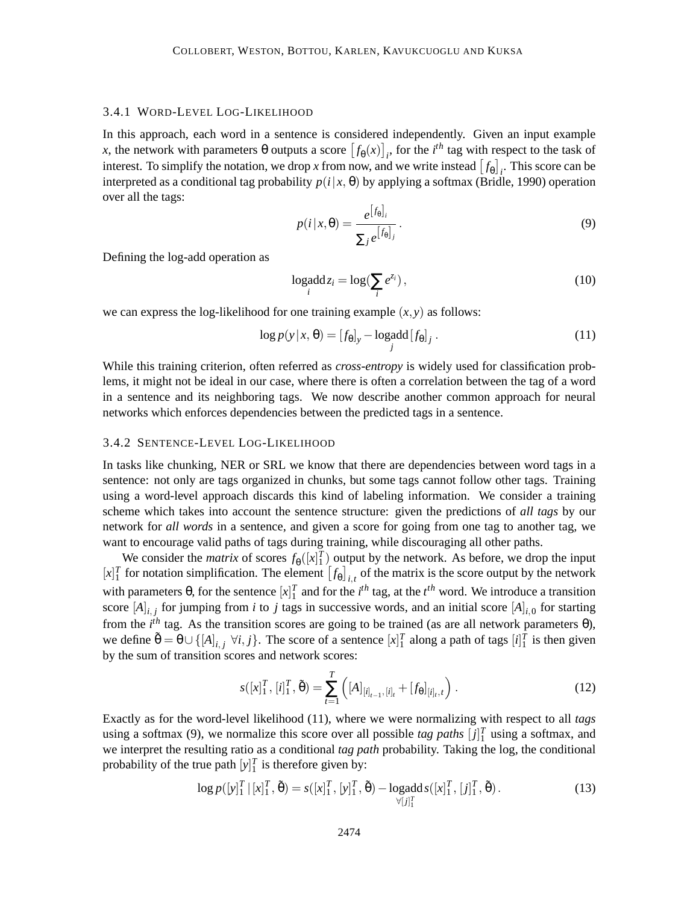### 3.4.1 WORD-LEVEL LOG-LIKELIHOOD

In this approach, each word in a sentence is considered independently. Given an input example  $f(x)$ , the network with parameters  $\theta$  outputs a score  $[f_{\theta}(x)]_i$ , for the *i*<sup>th</sup> tag with respect to the task of interest. To simplify the notation, we drop *x* from now, and we write instead  $[f_{\theta}]_i$ . This score can be interpreted as a conditional tag probability  $p(i|x, \theta)$  by applying a softmax (Bridle, 1990) operation over all the tags:

$$
p(i|x,\theta) = \frac{e^{[f_{\theta}]_i}}{\sum_j e^{[f_{\theta}]_j}}.
$$
\n(9)

Defining the log-add operation as

$$
\log \det_{i} = \log \left( \sum_{i} e^{z_{i}} \right),\tag{10}
$$

we can express the log-likelihood for one training example  $(x, y)$  as follows:

$$
\log p(y|x, \theta) = [f_{\theta}]_y - \log \operatorname{add} [f_{\theta}]_j. \tag{11}
$$

While this training criterion, often referred as *cross-entropy* is widely used for classification problems, it might not be ideal in our case, where there is often a correlation between the tag of a word in a sentence and its neighboring tags. We now describe another common approach for neural networks which enforces dependencies between the predicted tags in a sentence.

#### 3.4.2 SENTENCE-LEVEL LOG-LIKELIHOOD

In tasks like chunking, NER or SRL we know that there are dependencies between word tags in a sentence: not only are tags organized in chunks, but some tags cannot follow other tags. Training using a word-level approach discards this kind of labeling information. We consider a training scheme which takes into account the sentence structure: given the predictions of *all tags* by our network for *all words* in a sentence, and given a score for going from one tag to another tag, we want to encourage valid paths of tags during training, while discouraging all other paths.

We consider the *matrix* of scores  $f_{\theta}([x]_1^T)$  output by the network. As before, we drop the input  $[x]_1^T$  for notation simplification. The element  $[f_\theta]_{i,t}$  of the matrix is the score output by the network with parameters  $\theta$ , for the sentence  $[x]_1^T$  and for the *i*<sup>th</sup> tag, at the *i*<sup>th</sup> word. We introduce a transition score  $[A]_{i,j}$  for jumping from *i* to *j* tags in successive words, and an initial score  $[A]_{i,0}$  for starting from the  $i^{th}$  tag. As the transition scores are going to be trained (as are all network parameters  $\theta$ ), we define  $\tilde{\theta} = \theta \cup \{[A]_{i,j} \; \forall i, j\}$ . The score of a sentence  $[x]_1^T$  along a path of tags  $[i]_1^T$  is then given by the sum of transition scores and network scores:

$$
s([x]_1^T, [i]_1^T, \tilde{\theta}) = \sum_{t=1}^T \left( [A]_{[i]_{t-1}, [i]_t} + [f_{\theta}]_{[i]_t, t} \right).
$$
 (12)

Exactly as for the word-level likelihood (11), where we were normalizing with respect to all *tags* using a softmax (9), we normalize this score over all possible *tag paths*  $[j]_1^T$  using a softmax, and we interpret the resulting ratio as a conditional *tag path* probability. Taking the log, the conditional probability of the true path  $[y]_1^T$  is therefore given by:

$$
\log p([y]_1^T | [x]_1^T, \tilde{\theta}) = s([x]_1^T, [y]_1^T, \tilde{\theta}) - \log \det s([x]_1^T, [j]_1^T, \tilde{\theta}).
$$
\n(13)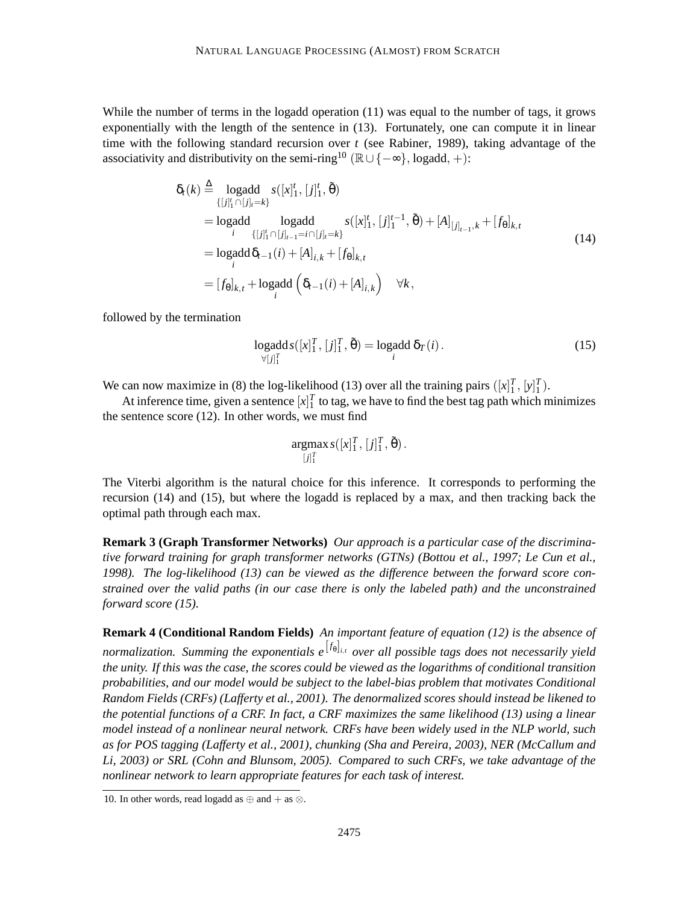While the number of terms in the logadd operation (11) was equal to the number of tags, it grows exponentially with the length of the sentence in (13). Fortunately, one can compute it in linear time with the following standard recursion over *t* (see Rabiner, 1989), taking advantage of the associativity and distributivity on the semi-ring<sup>10</sup> ( $\mathbb{R}\cup\{-\infty\}$ , logadd, +):

$$
\delta_{t}(k) \stackrel{\Delta}{=} \underset{\{[j]_{1}^{t} \cap [j]_{t}=k\}}{\text{logadd}} s([x]_{1}^{t}, [j]_{1}^{t}, \tilde{\theta})
$$
\n
$$
= \underset{i}{\text{logadd}} \underset{\{[j]_{1}^{t} \cap [j]_{t-1}=i \cap [j]_{t}=k\}}{\text{logadd}} s([x]_{1}^{t}, [j]_{1}^{t-1}, \tilde{\theta}) + [A]_{[j]_{t-1}, k} + [f_{\theta}]_{k, t}
$$
\n
$$
= \underset{i}{\text{logadd}} \delta_{t-1}(i) + [A]_{i,k} + [f_{\theta}]_{k,t}
$$
\n
$$
= [f_{\theta}]_{k,t} + \underset{i}{\text{logadd}} \left(\delta_{t-1}(i) + [A]_{i,k}\right) \quad \forall k,
$$
\n(14)

followed by the termination

$$
\underset{\forall [j]_1^T}{\text{logadd}} \, s([x]_1^T, [j]_1^T, \tilde{\theta}) = \underset{i}{\text{logadd}} \, \delta_T(i). \tag{15}
$$

We can now maximize in (8) the log-likelihood (13) over all the training pairs  $([x]_1^T, [y]_1^T)$ .

At inference time, given a sentence  $[x]_1^T$  to tag, we have to find the best tag path which minimizes the sentence score (12). In other words, we must find

$$
\underset{[j]_1^T}{\text{argmax}} s([x]_1^T, [j]_1^T, \tilde{\theta}).
$$

The Viterbi algorithm is the natural choice for this inference. It corresponds to performing the recursion (14) and (15), but where the logadd is replaced by a max, and then tracking back the optimal path through each max.

**Remark 3 (Graph Transformer Networks)** *Our approach is a particular case of the discriminative forward training for graph transformer networks (GTNs) (Bottou et al., 1997; Le Cun et al., 1998). The log-likelihood (13) can be viewed as the difference between the forward score constrained over the valid paths (in our case there is only the labeled path) and the unconstrained forward score (15).*

**Remark 4 (Conditional Random Fields)** *An important feature of equation (12) is the absence of normalization. Summing the exponentials e*[ *<sup>f</sup>* θ ] *<sup>i</sup>*,*<sup>t</sup> over all possible tags does not necessarily yield the unity. If this was the case, the scores could be viewed as the logarithms of conditional transition probabilities, and our model would be subject to the label-bias problem that motivates Conditional Random Fields (CRFs) (Lafferty et al., 2001). The denormalized scores should instead be likened to the potential functions of a CRF. In fact, a CRF maximizes the same likelihood (13) using a linear model instead of a nonlinear neural network. CRFs have been widely used in the NLP world, such as for POS tagging (Lafferty et al., 2001), chunking (Sha and Pereira, 2003), NER (McCallum and Li, 2003) or SRL (Cohn and Blunsom, 2005). Compared to such CRFs, we take advantage of the nonlinear network to learn appropriate features for each task of interest.*

<sup>10.</sup> In other words, read logadd as  $oplus$  and  $+$  as  $\otimes$ .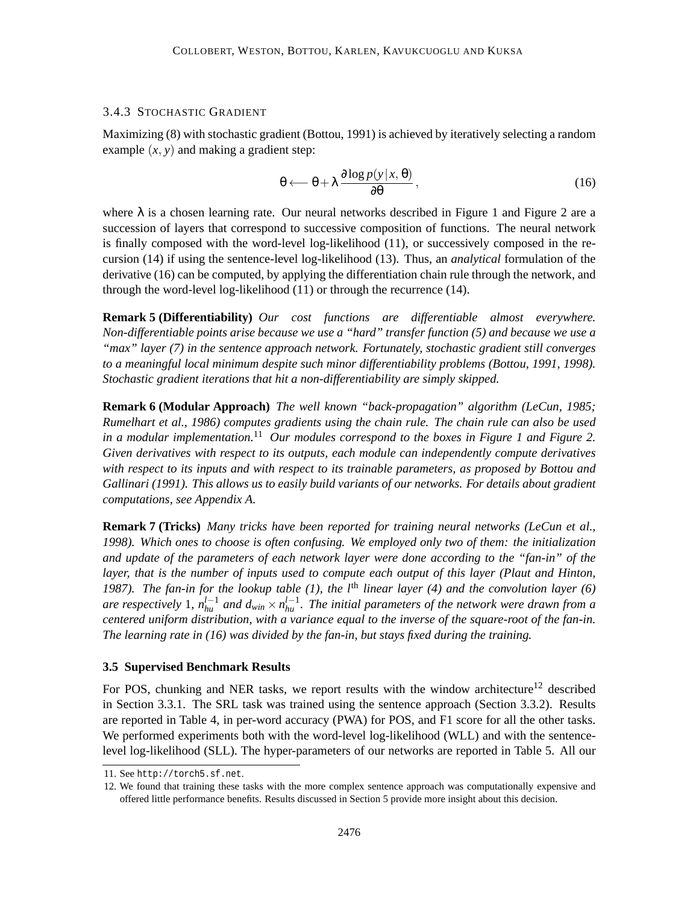## 3.4.3 STOCHASTIC GRADIENT

Maximizing (8) with stochastic gradient (Bottou, 1991) is achieved by iteratively selecting a random example  $(x, y)$  and making a gradient step:

$$
\theta \longleftarrow \theta + \lambda \frac{\partial \log p(y|x, \theta)}{\partial \theta}, \qquad (16)
$$

where  $\lambda$  is a chosen learning rate. Our neural networks described in Figure 1 and Figure 2 are a succession of layers that correspond to successive composition of functions. The neural network is finally composed with the word-level log-likelihood (11), or successively composed in the recursion (14) if using the sentence-level log-likelihood (13). Thus, an *analytical* formulation of the derivative (16) can be computed, by applying the differentiation chain rule through the network, and through the word-level log-likelihood (11) or through the recurrence (14).

**Remark 5 (Differentiability)** *Our cost functions are differentiable almost everywhere. Non-differentiable points arise because we use a "hard" transfer function (5) and because we use a "max" layer (7) in the sentence approach network. Fortunately, stochastic gradient still converges to a meaningful local minimum despite such minor differentiability problems (Bottou, 1991, 1998). Stochastic gradient iterations that hit a non-differentiability are simply skipped.*

**Remark 6 (Modular Approach)** *The well known "back-propagation" algorithm (LeCun, 1985; Rumelhart et al., 1986) computes gradients using the chain rule. The chain rule can also be used in a modular implementation.*<sup>11</sup> *Our modules correspond to the boxes in Figure 1 and Figure 2. Given derivatives with respect to its outputs, each module can independently compute derivatives with respect to its inputs and with respect to its trainable parameters, as proposed by Bottou and Gallinari (1991). This allows us to easily build variants of our networks. For details about gradient computations, see Appendix A.*

**Remark 7 (Tricks)** *Many tricks have been reported for training neural networks (LeCun et al., 1998). Which ones to choose is often confusing. We employed only two of them: the initialization and update of the parameters of each network layer were done according to the "fan-in" of the layer, that is the number of inputs used to compute each output of this layer (Plaut and Hinton, 1987). The fan-in for the lookup table (1), the l*th *linear layer (4) and the convolution layer (6)* are respectively 1,  $n_{hu}^{l-1}$  and  $d_{win} \times n_{hu}^{l-1}$ . The initial parameters of the network were drawn from a *centered uniform distribution, with a variance equal to the inverse of the square-root of the fan-in. The learning rate in (16) was divided by the fan-in, but stays fixed during the training.*

## **3.5 Supervised Benchmark Results**

For POS, chunking and NER tasks, we report results with the window architecture<sup>12</sup> described in Section 3.3.1. The SRL task was trained using the sentence approach (Section 3.3.2). Results are reported in Table 4, in per-word accuracy (PWA) for POS, and F1 score for all the other tasks. We performed experiments both with the word-level log-likelihood (WLL) and with the sentencelevel log-likelihood (SLL). The hyper-parameters of our networks are reported in Table 5. All our

<sup>11.</sup> See http://torch5.sf.net.

<sup>12.</sup> We found that training these tasks with the more complex sentence approach was computationally expensive and offered little performance benefits. Results discussed in Section 5 provide more insight about this decision.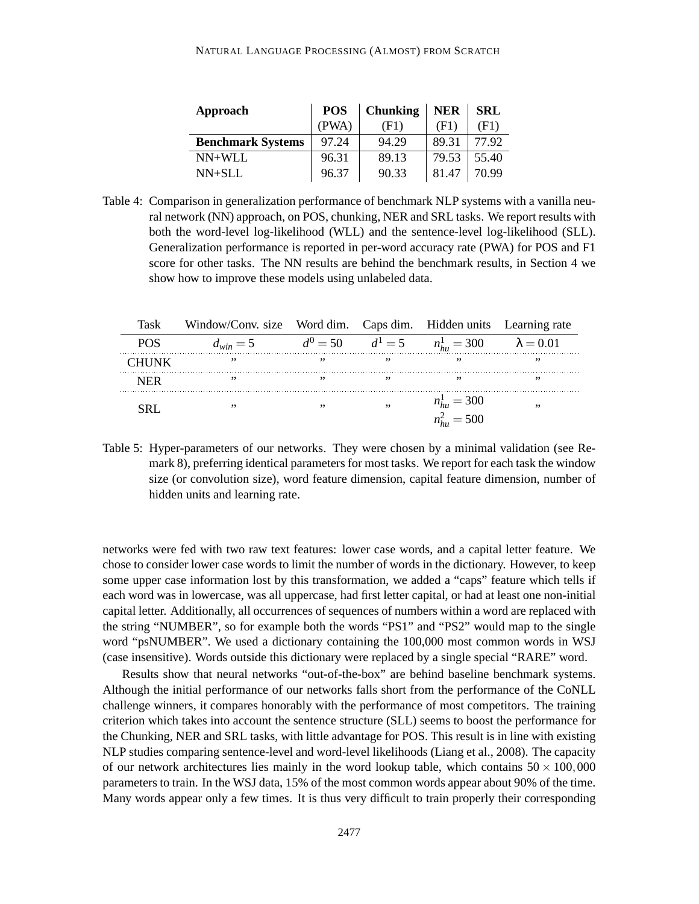| Approach                 | <b>POS</b> | <b>Chunking</b> | <b>NER</b> | <b>SRL</b> |
|--------------------------|------------|-----------------|------------|------------|
|                          | (PWA)      | (F1)            | (F1)       | (F1)       |
| <b>Benchmark Systems</b> | 97.24      | 94.29           | 89.31      | 77.92      |
| $NN+WLL$                 | 96.31      | 89.13           | 79.53      | 55.40      |
| $NN+SLL$                 | 96.37      | 90.33           | 81.47      | 70.99      |

Table 4: Comparison in generalization performance of benchmark NLP systems with a vanilla neural network (NN) approach, on POS, chunking, NER and SRL tasks. We report results with both the word-level log-likelihood (WLL) and the sentence-level log-likelihood (SLL). Generalization performance is reported in per-word accuracy rate (PWA) for POS and F1 score for other tasks. The NN results are behind the benchmark results, in Section 4 we show how to improve these models using unlabeled data.

| Task         | Window/Conv. size Word dim. Caps dim. Hidden units Learning rate |     |     |                                                        |    |
|--------------|------------------------------------------------------------------|-----|-----|--------------------------------------------------------|----|
| POS.         | $d_{win} = 5$                                                    |     |     | $d^0 = 50$ $d^1 = 5$ $n_{hu}^1 = 300$ $\lambda = 0.01$ |    |
| <b>CHUNK</b> | , ,                                                              | , , | , , | ,,                                                     | ,, |
| NFR          | , ,                                                              |     | ,,  | ,,                                                     | ,, |
| SR I         | , ,                                                              | ,,  | ,,  | $n_{hu}^1 = 300$                                       | ,, |
|              |                                                                  |     |     | $n_{hu}^2 = 500$                                       |    |

Table 5: Hyper-parameters of our networks. They were chosen by a minimal validation (see Remark 8), preferring identical parameters for most tasks. We report for each task the window size (or convolution size), word feature dimension, capital feature dimension, number of hidden units and learning rate.

networks were fed with two raw text features: lower case words, and a capital letter feature. We chose to consider lower case words to limit the number of words in the dictionary. However, to keep some upper case information lost by this transformation, we added a "caps" feature which tells if each word was in lowercase, was all uppercase, had first letter capital, or had at least one non-initial capital letter. Additionally, all occurrences of sequences of numbers within a word are replaced with the string "NUMBER", so for example both the words "PS1" and "PS2" would map to the single word "psNUMBER". We used a dictionary containing the 100,000 most common words in WSJ (case insensitive). Words outside this dictionary were replaced by a single special "RARE" word.

Results show that neural networks "out-of-the-box" are behind baseline benchmark systems. Although the initial performance of our networks falls short from the performance of the CoNLL challenge winners, it compares honorably with the performance of most competitors. The training criterion which takes into account the sentence structure (SLL) seems to boost the performance for the Chunking, NER and SRL tasks, with little advantage for POS. This result is in line with existing NLP studies comparing sentence-level and word-level likelihoods (Liang et al., 2008). The capacity of our network architectures lies mainly in the word lookup table, which contains  $50 \times 100,000$ parameters to train. In the WSJ data, 15% of the most common words appear about 90% of the time. Many words appear only a few times. It is thus very difficult to train properly their corresponding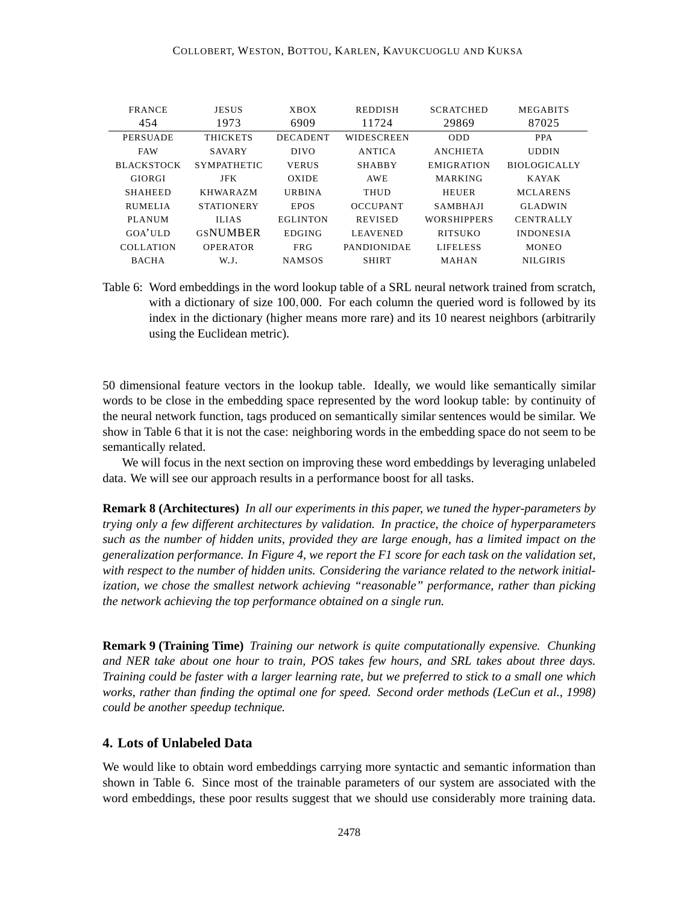| <b>FRANCE</b>     | <b>JESUS</b>       | <b>XBOX</b>     | <b>REDDISH</b>     | <b>SCRATCHED</b>   | <b>MEGABITS</b>     |
|-------------------|--------------------|-----------------|--------------------|--------------------|---------------------|
| 454               | 1973               | 6909            | 11724              | 29869              | 87025               |
| <b>PERSUADE</b>   | <b>THICKETS</b>    | <b>DECADENT</b> | <b>WIDESCREEN</b>  | <b>ODD</b>         | <b>PPA</b>          |
| <b>FAW</b>        | <b>SAVARY</b>      | <b>DIVO</b>     | <b>ANTICA</b>      | <b>ANCHIETA</b>    | <b>UDDIN</b>        |
| <b>BLACKSTOCK</b> | <b>SYMPATHETIC</b> | <b>VERUS</b>    | <b>SHABBY</b>      | <b>EMIGRATION</b>  | <b>BIOLOGICALLY</b> |
| GIORGI            | <b>JFK</b>         | OXIDE           | <b>AWE</b>         | <b>MARKING</b>     | <b>KAYAK</b>        |
| <b>SHAHEED</b>    | <b>KHWARAZM</b>    | <b>URBINA</b>   | THUD               | <b>HEUER</b>       | <b>MCLARENS</b>     |
| <b>RUMELIA</b>    | <b>STATIONERY</b>  | <b>EPOS</b>     | <b>OCCUPANT</b>    | <b>SAMBHAII</b>    | <b>GLADWIN</b>      |
| <b>PLANUM</b>     | <b>ILIAS</b>       | <b>EGLINTON</b> | <b>REVISED</b>     | <b>WORSHIPPERS</b> | <b>CENTRALLY</b>    |
| GOA'ULD           | <b>GSNUMBER</b>    | <b>EDGING</b>   | <b>LEAVENED</b>    | <b>RITSUKO</b>     | <b>INDONESIA</b>    |
| <b>COLLATION</b>  | <b>OPERATOR</b>    | <b>FRG</b>      | <b>PANDIONIDAE</b> | <b>LIFELESS</b>    | <b>MONEO</b>        |
| <b>BACHA</b>      | W.J.               | <b>NAMSOS</b>   | <b>SHIRT</b>       | MAHAN              | <b>NILGIRIS</b>     |

Table 6: Word embeddings in the word lookup table of a SRL neural network trained from scratch, with a dictionary of size 100,000. For each column the queried word is followed by its index in the dictionary (higher means more rare) and its 10 nearest neighbors (arbitrarily using the Euclidean metric).

50 dimensional feature vectors in the lookup table. Ideally, we would like semantically similar words to be close in the embedding space represented by the word lookup table: by continuity of the neural network function, tags produced on semantically similar sentences would be similar. We show in Table 6 that it is not the case: neighboring words in the embedding space do not seem to be semantically related.

We will focus in the next section on improving these word embeddings by leveraging unlabeled data. We will see our approach results in a performance boost for all tasks.

**Remark 8 (Architectures)** *In all our experiments in this paper, we tuned the hyper-parameters by trying only a few different architectures by validation. In practice, the choice of hyperparameters such as the number of hidden units, provided they are large enough, has a limited impact on the generalization performance. In Figure 4, we report the F1 score for each task on the validation set, with respect to the number of hidden units. Considering the variance related to the network initialization, we chose the smallest network achieving "reasonable" performance, rather than picking the network achieving the top performance obtained on a single run.*

**Remark 9 (Training Time)** *Training our network is quite computationally expensive. Chunking and NER take about one hour to train, POS takes few hours, and SRL takes about three days. Training could be faster with a larger learning rate, but we preferred to stick to a small one which works, rather than finding the optimal one for speed. Second order methods (LeCun et al., 1998) could be another speedup technique.*

## **4. Lots of Unlabeled Data**

We would like to obtain word embeddings carrying more syntactic and semantic information than shown in Table 6. Since most of the trainable parameters of our system are associated with the word embeddings, these poor results suggest that we should use considerably more training data.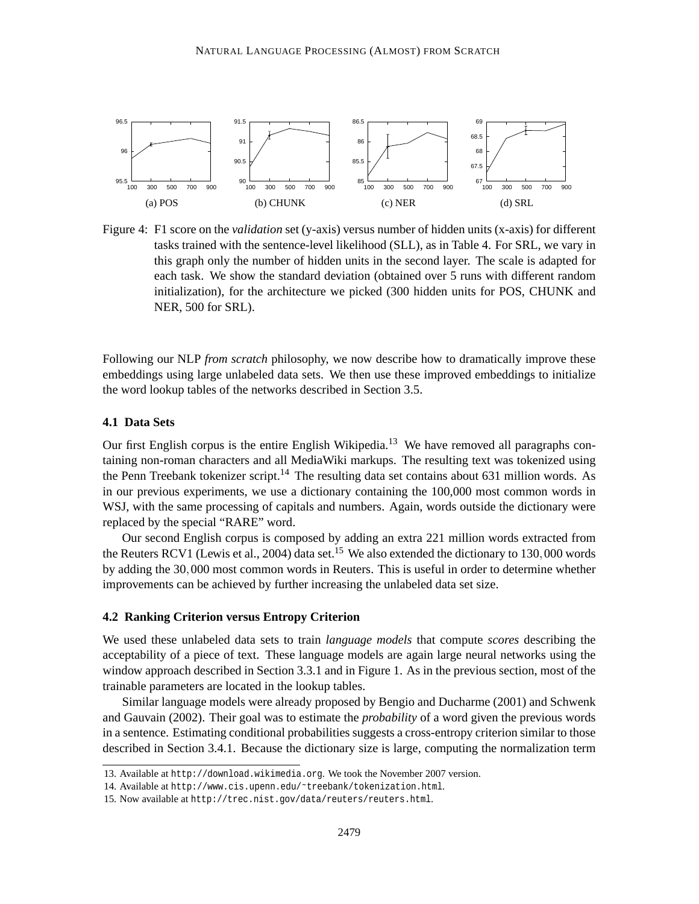

Figure 4: F1 score on the *validation* set (y-axis) versus number of hidden units (x-axis) for different tasks trained with the sentence-level likelihood (SLL), as in Table 4. For SRL, we vary in this graph only the number of hidden units in the second layer. The scale is adapted for each task. We show the standard deviation (obtained over 5 runs with different random initialization), for the architecture we picked (300 hidden units for POS, CHUNK and NER, 500 for SRL).

Following our NLP *from scratch* philosophy, we now describe how to dramatically improve these embeddings using large unlabeled data sets. We then use these improved embeddings to initialize the word lookup tables of the networks described in Section 3.5.

## **4.1 Data Sets**

Our first English corpus is the entire English Wikipedia.<sup>13</sup> We have removed all paragraphs containing non-roman characters and all MediaWiki markups. The resulting text was tokenized using the Penn Treebank tokenizer script.<sup>14</sup> The resulting data set contains about 631 million words. As in our previous experiments, we use a dictionary containing the 100,000 most common words in WSJ, with the same processing of capitals and numbers. Again, words outside the dictionary were replaced by the special "RARE" word.

Our second English corpus is composed by adding an extra 221 million words extracted from the Reuters RCV1 (Lewis et al., 2004) data set.<sup>15</sup> We also extended the dictionary to 130,000 words by adding the 30,000 most common words in Reuters. This is useful in order to determine whether improvements can be achieved by further increasing the unlabeled data set size.

## **4.2 Ranking Criterion versus Entropy Criterion**

We used these unlabeled data sets to train *language models* that compute *scores* describing the acceptability of a piece of text. These language models are again large neural networks using the window approach described in Section 3.3.1 and in Figure 1. As in the previous section, most of the trainable parameters are located in the lookup tables.

Similar language models were already proposed by Bengio and Ducharme (2001) and Schwenk and Gauvain (2002). Their goal was to estimate the *probability* of a word given the previous words in a sentence. Estimating conditional probabilities suggests a cross-entropy criterion similar to those described in Section 3.4.1. Because the dictionary size is large, computing the normalization term

<sup>13.</sup> Available at http://download.wikimedia.org. We took the November 2007 version.

<sup>14.</sup> Available at http://www.cis.upenn.edu/˜treebank/tokenization.html.

<sup>15.</sup> Now available at http://trec.nist.gov/data/reuters/reuters.html.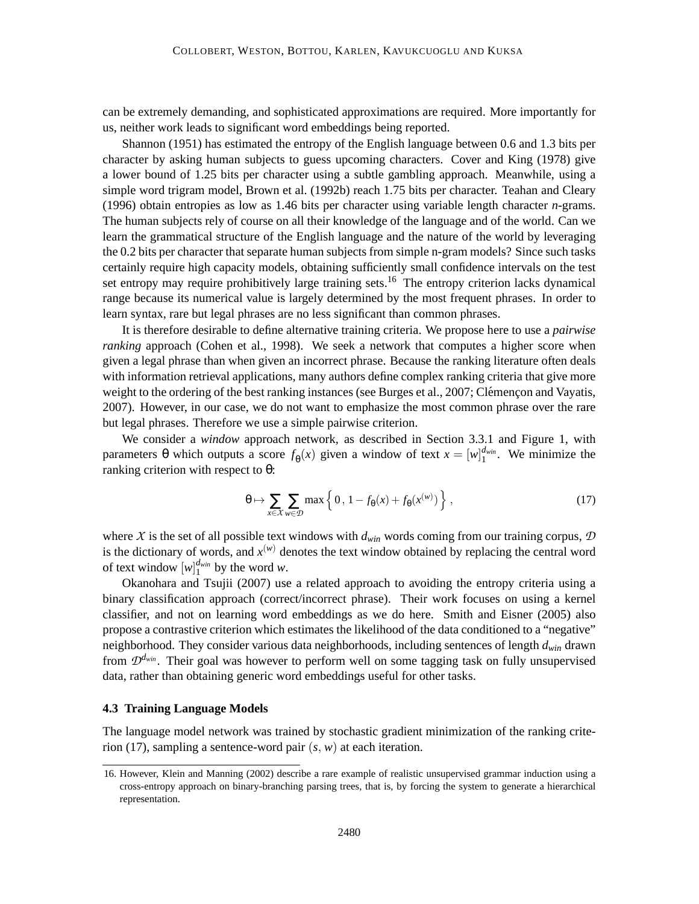can be extremely demanding, and sophisticated approximations are required. More importantly for us, neither work leads to significant word embeddings being reported.

Shannon (1951) has estimated the entropy of the English language between 0.6 and 1.3 bits per character by asking human subjects to guess upcoming characters. Cover and King (1978) give a lower bound of 1.25 bits per character using a subtle gambling approach. Meanwhile, using a simple word trigram model, Brown et al. (1992b) reach 1.75 bits per character. Teahan and Cleary (1996) obtain entropies as low as 1.46 bits per character using variable length character *n*-grams. The human subjects rely of course on all their knowledge of the language and of the world. Can we learn the grammatical structure of the English language and the nature of the world by leveraging the 0.2 bits per character that separate human subjects from simple n-gram models? Since such tasks certainly require high capacity models, obtaining sufficiently small confidence intervals on the test set entropy may require prohibitively large training sets.<sup>16</sup> The entropy criterion lacks dynamical range because its numerical value is largely determined by the most frequent phrases. In order to learn syntax, rare but legal phrases are no less significant than common phrases.

It is therefore desirable to define alternative training criteria. We propose here to use a *pairwise ranking* approach (Cohen et al., 1998). We seek a network that computes a higher score when given a legal phrase than when given an incorrect phrase. Because the ranking literature often deals with information retrieval applications, many authors define complex ranking criteria that give more weight to the ordering of the best ranking instances (see Burges et al., 2007; Clémençon and Vayatis, 2007). However, in our case, we do not want to emphasize the most common phrase over the rare but legal phrases. Therefore we use a simple pairwise criterion.

We consider a *window* approach network, as described in Section 3.3.1 and Figure 1, with parameters θ which outputs a score  $f_{\theta}(x)$  given a window of text  $x = [w]_1^{d_{win}}$ . We minimize the ranking criterion with respect to  $θ$ :

$$
\theta \mapsto \sum_{x \in \mathcal{X}} \sum_{w \in \mathcal{D}} \max \left\{ 0, 1 - f_{\theta}(x) + f_{\theta}(x^{(w)}) \right\},\tag{17}
$$

where *X* is the set of all possible text windows with *dwin* words coming from our training corpus, *D* is the dictionary of words, and  $x^{(w)}$  denotes the text window obtained by replacing the central word of text window  $[w]_1^{d_{win}}$  by the word *w*.

Okanohara and Tsujii (2007) use a related approach to avoiding the entropy criteria using a binary classification approach (correct/incorrect phrase). Their work focuses on using a kernel classifier, and not on learning word embeddings as we do here. Smith and Eisner (2005) also propose a contrastive criterion which estimates the likelihood of the data conditioned to a "negative" neighborhood. They consider various data neighborhoods, including sentences of length *dwin* drawn from  $\mathcal{D}^{d_{win}}$ . Their goal was however to perform well on some tagging task on fully unsupervised data, rather than obtaining generic word embeddings useful for other tasks.

## **4.3 Training Language Models**

The language model network was trained by stochastic gradient minimization of the ranking criterion (17), sampling a sentence-word pair (*s*, *w*) at each iteration.

<sup>16.</sup> However, Klein and Manning (2002) describe a rare example of realistic unsupervised grammar induction using a cross-entropy approach on binary-branching parsing trees, that is, by forcing the system to generate a hierarchical representation.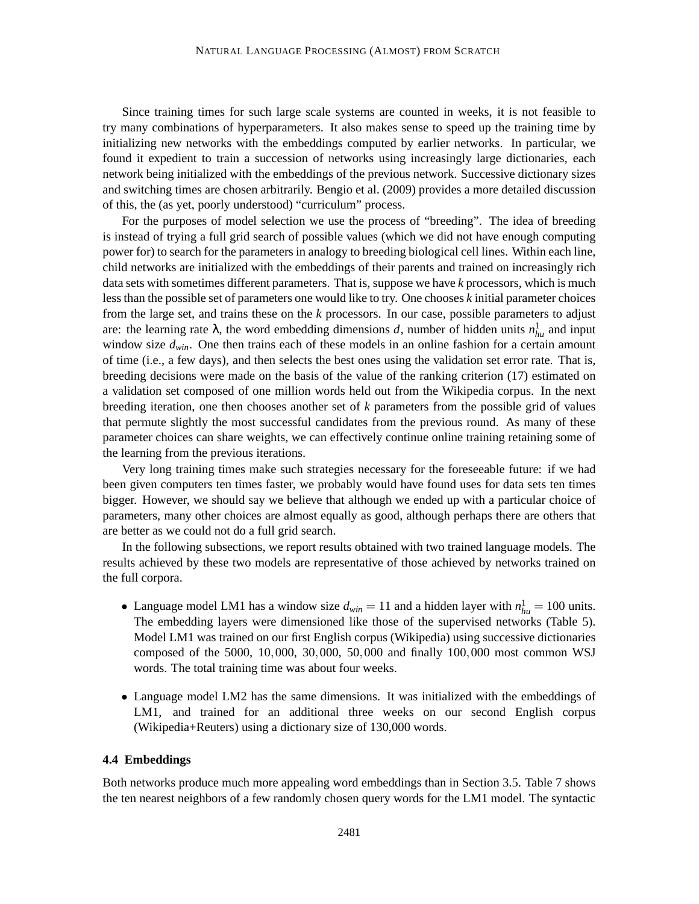Since training times for such large scale systems are counted in weeks, it is not feasible to try many combinations of hyperparameters. It also makes sense to speed up the training time by initializing new networks with the embeddings computed by earlier networks. In particular, we found it expedient to train a succession of networks using increasingly large dictionaries, each network being initialized with the embeddings of the previous network. Successive dictionary sizes and switching times are chosen arbitrarily. Bengio et al. (2009) provides a more detailed discussion of this, the (as yet, poorly understood) "curriculum" process.

For the purposes of model selection we use the process of "breeding". The idea of breeding is instead of trying a full grid search of possible values (which we did not have enough computing power for) to search for the parameters in analogy to breeding biological cell lines. Within each line, child networks are initialized with the embeddings of their parents and trained on increasingly rich data sets with sometimes different parameters. That is, suppose we have *k* processors, which is much less than the possible set of parameters one would like to try. One chooses *k* initial parameter choices from the large set, and trains these on the *k* processors. In our case, possible parameters to adjust are: the learning rate  $\lambda$ , the word embedding dimensions *d*, number of hidden units  $n_{hu}^1$  and input window size *dwin*. One then trains each of these models in an online fashion for a certain amount of time (i.e., a few days), and then selects the best ones using the validation set error rate. That is, breeding decisions were made on the basis of the value of the ranking criterion (17) estimated on a validation set composed of one million words held out from the Wikipedia corpus. In the next breeding iteration, one then chooses another set of *k* parameters from the possible grid of values that permute slightly the most successful candidates from the previous round. As many of these parameter choices can share weights, we can effectively continue online training retaining some of the learning from the previous iterations.

Very long training times make such strategies necessary for the foreseeable future: if we had been given computers ten times faster, we probably would have found uses for data sets ten times bigger. However, we should say we believe that although we ended up with a particular choice of parameters, many other choices are almost equally as good, although perhaps there are others that are better as we could not do a full grid search.

In the following subsections, we report results obtained with two trained language models. The results achieved by these two models are representative of those achieved by networks trained on the full corpora.

- Language model LM1 has a window size  $d_{win} = 11$  and a hidden layer with  $n_{hu}^1 = 100$  units. The embedding layers were dimensioned like those of the supervised networks (Table 5). Model LM1 was trained on our first English corpus (Wikipedia) using successive dictionaries composed of the 5000, 10,000, 30,000, 50,000 and finally 100,000 most common WSJ words. The total training time was about four weeks.
- Language model LM2 has the same dimensions. It was initialized with the embeddings of LM1, and trained for an additional three weeks on our second English corpus (Wikipedia+Reuters) using a dictionary size of 130,000 words.

## **4.4 Embeddings**

Both networks produce much more appealing word embeddings than in Section 3.5. Table 7 shows the ten nearest neighbors of a few randomly chosen query words for the LM1 model. The syntactic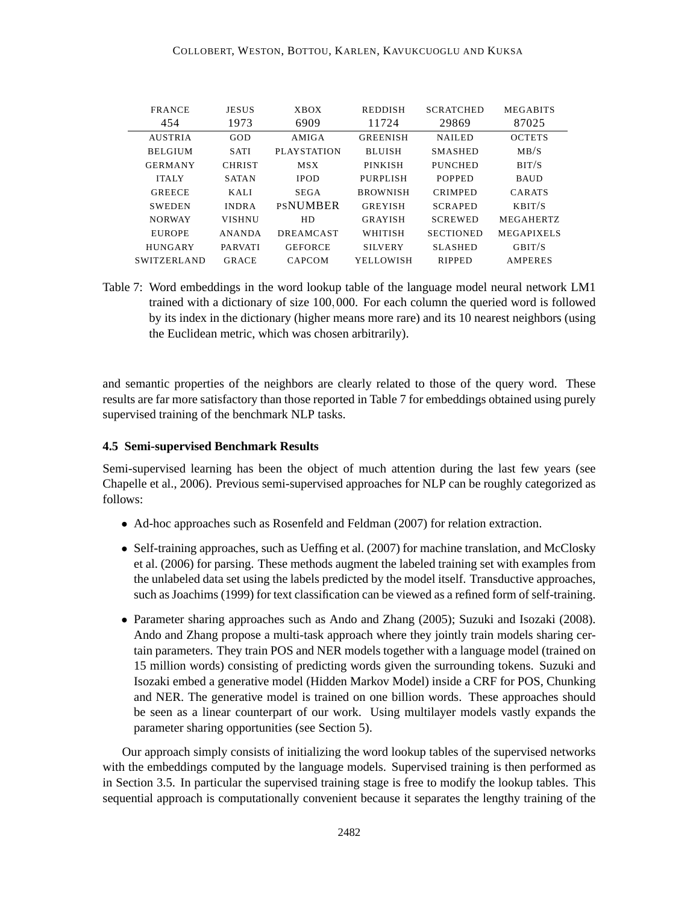| <b>FRANCE</b>      | <b>JESUS</b>   | <b>XBOX</b>        | <b>REDDISH</b>  | <b>SCRATCHED</b> | <b>MEGABITS</b>   |
|--------------------|----------------|--------------------|-----------------|------------------|-------------------|
| 454                | 1973           | 6909               | 11724           | 29869            | 87025             |
| <b>AUSTRIA</b>     | GOD            | AMIGA              | <b>GREENISH</b> | <b>NAILED</b>    | <b>OCTETS</b>     |
| <b>BELGIUM</b>     | <b>SATI</b>    | <b>PLAYSTATION</b> | <b>BLUISH</b>   | <b>SMASHED</b>   | MB/S              |
| <b>GERMANY</b>     | <b>CHRIST</b>  | <b>MSX</b>         | <b>PINKISH</b>  | <b>PUNCHED</b>   | BIT/S             |
| <b>ITALY</b>       | <b>SATAN</b>   | <b>IPOD</b>        | PURPLISH        | <b>POPPED</b>    | <b>BAUD</b>       |
| <b>GREECE</b>      | KALI           | <b>SEGA</b>        | <b>BROWNISH</b> | <b>CRIMPED</b>   | CARATS            |
| <b>SWEDEN</b>      | <b>INDRA</b>   | <b>PSNUMBER</b>    | <b>GREYISH</b>  | <b>SCRAPED</b>   | KBIT/S            |
| <b>NORWAY</b>      | <b>VISHNU</b>  | HD.                | <b>GRAYISH</b>  | <b>SCREWED</b>   | <b>MEGAHERTZ</b>  |
| <b>EUROPE</b>      | <b>ANANDA</b>  | <b>DREAMCAST</b>   | WHITISH         | <b>SECTIONED</b> | <b>MEGAPIXELS</b> |
| <b>HUNGARY</b>     | <b>PARVATI</b> | <b>GEFORCE</b>     | <b>SILVERY</b>  | <b>SLASHED</b>   | GHIT/S            |
| <b>SWITZERLAND</b> | <b>GRACE</b>   | CAPCOM             | YELLOWISH       | <b>RIPPED</b>    | <b>AMPERES</b>    |

Table 7: Word embeddings in the word lookup table of the language model neural network LM1 trained with a dictionary of size 100,000. For each column the queried word is followed by its index in the dictionary (higher means more rare) and its 10 nearest neighbors (using the Euclidean metric, which was chosen arbitrarily).

and semantic properties of the neighbors are clearly related to those of the query word. These results are far more satisfactory than those reported in Table 7 for embeddings obtained using purely supervised training of the benchmark NLP tasks.

## **4.5 Semi-supervised Benchmark Results**

Semi-supervised learning has been the object of much attention during the last few years (see Chapelle et al., 2006). Previous semi-supervised approaches for NLP can be roughly categorized as follows:

- Ad-hoc approaches such as Rosenfeld and Feldman (2007) for relation extraction.
- Self-training approaches, such as Ueffing et al. (2007) for machine translation, and McClosky et al. (2006) for parsing. These methods augment the labeled training set with examples from the unlabeled data set using the labels predicted by the model itself. Transductive approaches, such as Joachims (1999) for text classification can be viewed as a refined form of self-training.
- Parameter sharing approaches such as Ando and Zhang (2005); Suzuki and Isozaki (2008). Ando and Zhang propose a multi-task approach where they jointly train models sharing certain parameters. They train POS and NER models together with a language model (trained on 15 million words) consisting of predicting words given the surrounding tokens. Suzuki and Isozaki embed a generative model (Hidden Markov Model) inside a CRF for POS, Chunking and NER. The generative model is trained on one billion words. These approaches should be seen as a linear counterpart of our work. Using multilayer models vastly expands the parameter sharing opportunities (see Section 5).

Our approach simply consists of initializing the word lookup tables of the supervised networks with the embeddings computed by the language models. Supervised training is then performed as in Section 3.5. In particular the supervised training stage is free to modify the lookup tables. This sequential approach is computationally convenient because it separates the lengthy training of the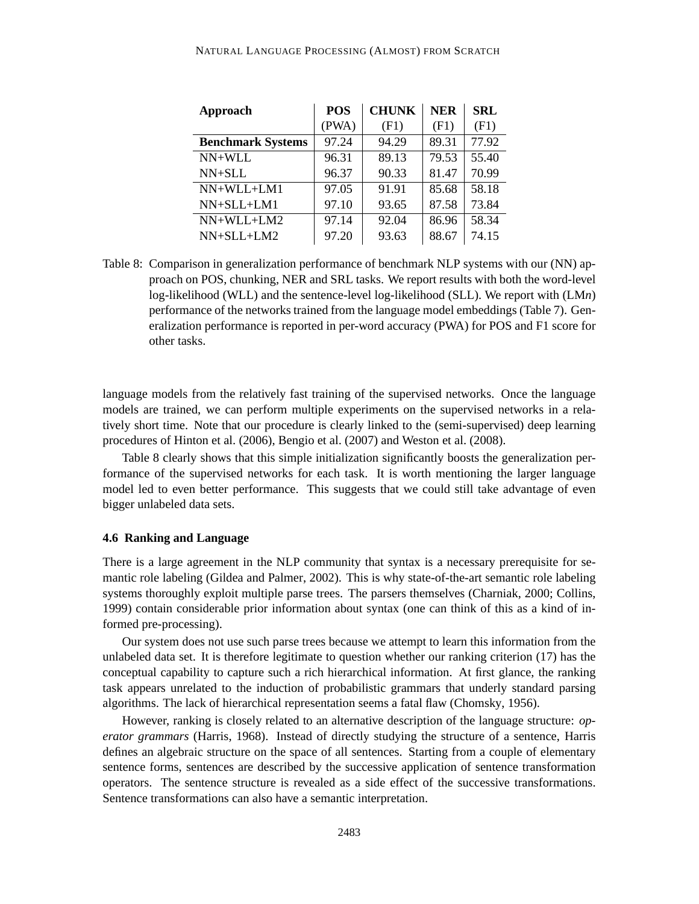| <b>Approach</b>          | <b>POS</b> | <b>CHUNK</b> | <b>NER</b> | <b>SRL</b> |
|--------------------------|------------|--------------|------------|------------|
|                          | (PWA)      | (F1)         | (F1)       | (F1)       |
| <b>Benchmark Systems</b> | 97.24      | 94.29        | 89.31      | 77.92      |
| NN+WLL                   | 96.31      | 89.13        | 79.53      | 55.40      |
| NN+SLL                   | 96.37      | 90.33        | 81.47      | 70.99      |
| $NN+WLL+LM1$             | 97.05      | 91.91        | 85.68      | 58.18      |
| $NN+SLL+LM1$             | 97.10      | 93.65        | 87.58      | 73.84      |
| $NN+WLL+LM2$             | 97.14      | 92.04        | 86.96      | 58.34      |
| $NN+SLL+LM2$             | 97.20      | 93.63        | 88.67      | 74.15      |

Table 8: Comparison in generalization performance of benchmark NLP systems with our (NN) approach on POS, chunking, NER and SRL tasks. We report results with both the word-level log-likelihood (WLL) and the sentence-level log-likelihood (SLL). We report with (LM*n*) performance of the networks trained from the language model embeddings (Table 7). Generalization performance is reported in per-word accuracy (PWA) for POS and F1 score for other tasks.

language models from the relatively fast training of the supervised networks. Once the language models are trained, we can perform multiple experiments on the supervised networks in a relatively short time. Note that our procedure is clearly linked to the (semi-supervised) deep learning procedures of Hinton et al. (2006), Bengio et al. (2007) and Weston et al. (2008).

Table 8 clearly shows that this simple initialization significantly boosts the generalization performance of the supervised networks for each task. It is worth mentioning the larger language model led to even better performance. This suggests that we could still take advantage of even bigger unlabeled data sets.

#### **4.6 Ranking and Language**

There is a large agreement in the NLP community that syntax is a necessary prerequisite for semantic role labeling (Gildea and Palmer, 2002). This is why state-of-the-art semantic role labeling systems thoroughly exploit multiple parse trees. The parsers themselves (Charniak, 2000; Collins, 1999) contain considerable prior information about syntax (one can think of this as a kind of informed pre-processing).

Our system does not use such parse trees because we attempt to learn this information from the unlabeled data set. It is therefore legitimate to question whether our ranking criterion (17) has the conceptual capability to capture such a rich hierarchical information. At first glance, the ranking task appears unrelated to the induction of probabilistic grammars that underly standard parsing algorithms. The lack of hierarchical representation seems a fatal flaw (Chomsky, 1956).

However, ranking is closely related to an alternative description of the language structure: *operator grammars* (Harris, 1968). Instead of directly studying the structure of a sentence, Harris defines an algebraic structure on the space of all sentences. Starting from a couple of elementary sentence forms, sentences are described by the successive application of sentence transformation operators. The sentence structure is revealed as a side effect of the successive transformations. Sentence transformations can also have a semantic interpretation.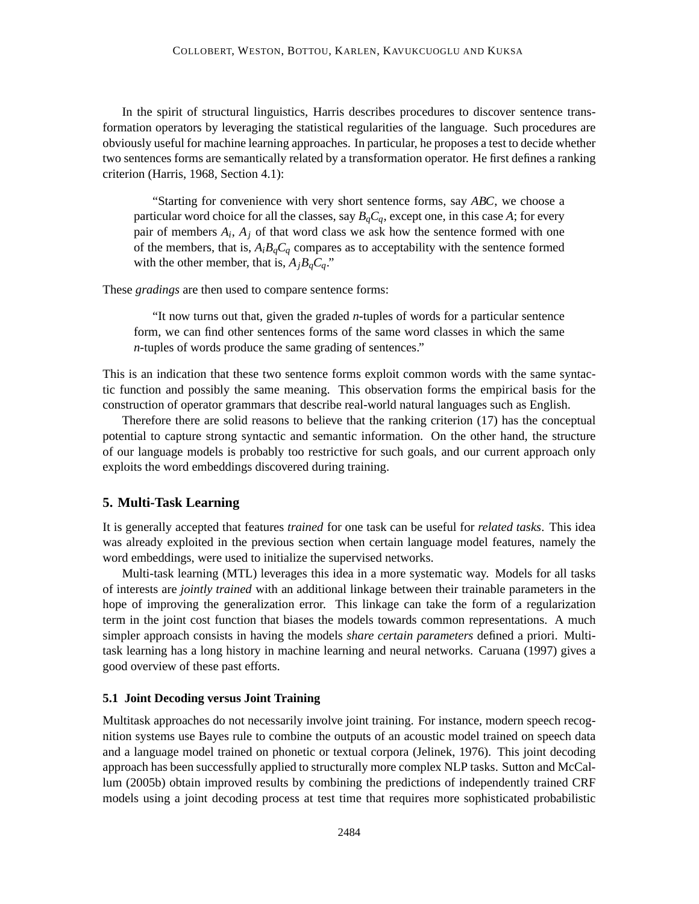In the spirit of structural linguistics, Harris describes procedures to discover sentence transformation operators by leveraging the statistical regularities of the language. Such procedures are obviously useful for machine learning approaches. In particular, he proposes a test to decide whether two sentences forms are semantically related by a transformation operator. He first defines a ranking criterion (Harris, 1968, Section 4.1):

"Starting for convenience with very short sentence forms, say *ABC*, we choose a particular word choice for all the classes, say  $B_qC_q$ , except one, in this case A; for every pair of members  $A_i$ ,  $A_j$  of that word class we ask how the sentence formed with one of the members, that is,  $A_i B_q C_q$  compares as to acceptability with the sentence formed with the other member, that is,  $A_jB_qC_q$ ."

These *gradings* are then used to compare sentence forms:

"It now turns out that, given the graded *n*-tuples of words for a particular sentence form, we can find other sentences forms of the same word classes in which the same *n*-tuples of words produce the same grading of sentences."

This is an indication that these two sentence forms exploit common words with the same syntactic function and possibly the same meaning. This observation forms the empirical basis for the construction of operator grammars that describe real-world natural languages such as English.

Therefore there are solid reasons to believe that the ranking criterion (17) has the conceptual potential to capture strong syntactic and semantic information. On the other hand, the structure of our language models is probably too restrictive for such goals, and our current approach only exploits the word embeddings discovered during training.

## **5. Multi-Task Learning**

It is generally accepted that features *trained* for one task can be useful for *related tasks*. This idea was already exploited in the previous section when certain language model features, namely the word embeddings, were used to initialize the supervised networks.

Multi-task learning (MTL) leverages this idea in a more systematic way. Models for all tasks of interests are *jointly trained* with an additional linkage between their trainable parameters in the hope of improving the generalization error. This linkage can take the form of a regularization term in the joint cost function that biases the models towards common representations. A much simpler approach consists in having the models *share certain parameters* defined a priori. Multitask learning has a long history in machine learning and neural networks. Caruana (1997) gives a good overview of these past efforts.

#### **5.1 Joint Decoding versus Joint Training**

Multitask approaches do not necessarily involve joint training. For instance, modern speech recognition systems use Bayes rule to combine the outputs of an acoustic model trained on speech data and a language model trained on phonetic or textual corpora (Jelinek, 1976). This joint decoding approach has been successfully applied to structurally more complex NLP tasks. Sutton and McCallum (2005b) obtain improved results by combining the predictions of independently trained CRF models using a joint decoding process at test time that requires more sophisticated probabilistic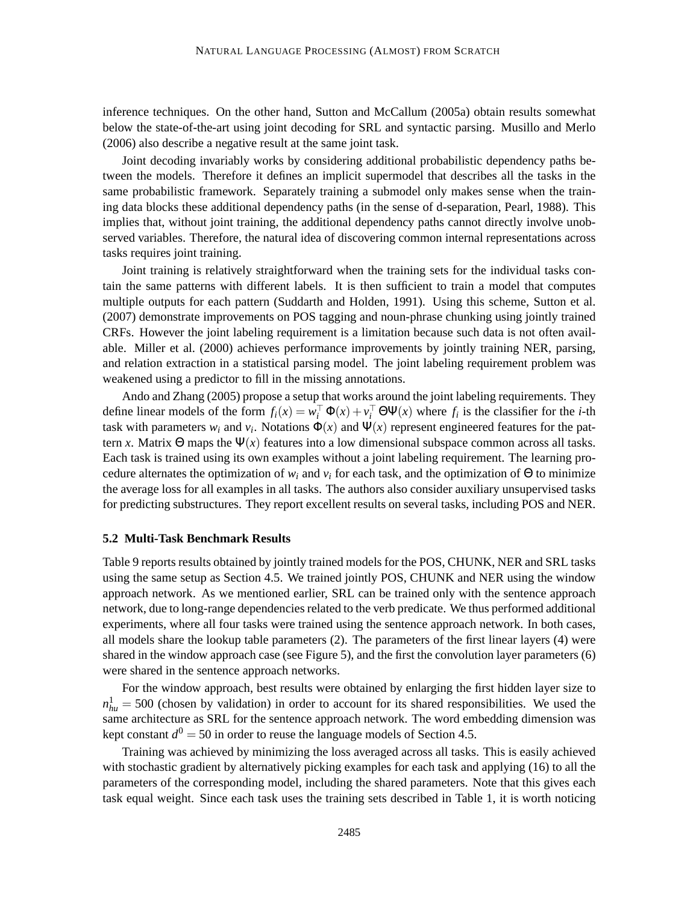inference techniques. On the other hand, Sutton and McCallum (2005a) obtain results somewhat below the state-of-the-art using joint decoding for SRL and syntactic parsing. Musillo and Merlo (2006) also describe a negative result at the same joint task.

Joint decoding invariably works by considering additional probabilistic dependency paths between the models. Therefore it defines an implicit supermodel that describes all the tasks in the same probabilistic framework. Separately training a submodel only makes sense when the training data blocks these additional dependency paths (in the sense of d-separation, Pearl, 1988). This implies that, without joint training, the additional dependency paths cannot directly involve unobserved variables. Therefore, the natural idea of discovering common internal representations across tasks requires joint training.

Joint training is relatively straightforward when the training sets for the individual tasks contain the same patterns with different labels. It is then sufficient to train a model that computes multiple outputs for each pattern (Suddarth and Holden, 1991). Using this scheme, Sutton et al. (2007) demonstrate improvements on POS tagging and noun-phrase chunking using jointly trained CRFs. However the joint labeling requirement is a limitation because such data is not often available. Miller et al. (2000) achieves performance improvements by jointly training NER, parsing, and relation extraction in a statistical parsing model. The joint labeling requirement problem was weakened using a predictor to fill in the missing annotations.

Ando and Zhang (2005) propose a setup that works around the joint labeling requirements. They define linear models of the form  $f_i(x) = w_i^\top \Phi(x) + v_i^\top \Theta \Psi(x)$  where  $f_i$  is the classifier for the *i*-th task with parameters  $w_i$  and  $v_i$ . Notations  $\Phi(x)$  and  $\Psi(x)$  represent engineered features for the pattern *x*. Matrix  $\Theta$  maps the  $\Psi(x)$  features into a low dimensional subspace common across all tasks. Each task is trained using its own examples without a joint labeling requirement. The learning procedure alternates the optimization of  $w_i$  and  $v_i$  for each task, and the optimization of  $\Theta$  to minimize the average loss for all examples in all tasks. The authors also consider auxiliary unsupervised tasks for predicting substructures. They report excellent results on several tasks, including POS and NER.

#### **5.2 Multi-Task Benchmark Results**

Table 9 reports results obtained by jointly trained models for the POS, CHUNK, NER and SRL tasks using the same setup as Section 4.5. We trained jointly POS, CHUNK and NER using the window approach network. As we mentioned earlier, SRL can be trained only with the sentence approach network, due to long-range dependencies related to the verb predicate. We thus performed additional experiments, where all four tasks were trained using the sentence approach network. In both cases, all models share the lookup table parameters (2). The parameters of the first linear layers (4) were shared in the window approach case (see Figure 5), and the first the convolution layer parameters (6) were shared in the sentence approach networks.

For the window approach, best results were obtained by enlarging the first hidden layer size to  $n_{hu}^1 = 500$  (chosen by validation) in order to account for its shared responsibilities. We used the same architecture as SRL for the sentence approach network. The word embedding dimension was kept constant  $d^0 = 50$  in order to reuse the language models of Section 4.5.

Training was achieved by minimizing the loss averaged across all tasks. This is easily achieved with stochastic gradient by alternatively picking examples for each task and applying (16) to all the parameters of the corresponding model, including the shared parameters. Note that this gives each task equal weight. Since each task uses the training sets described in Table 1, it is worth noticing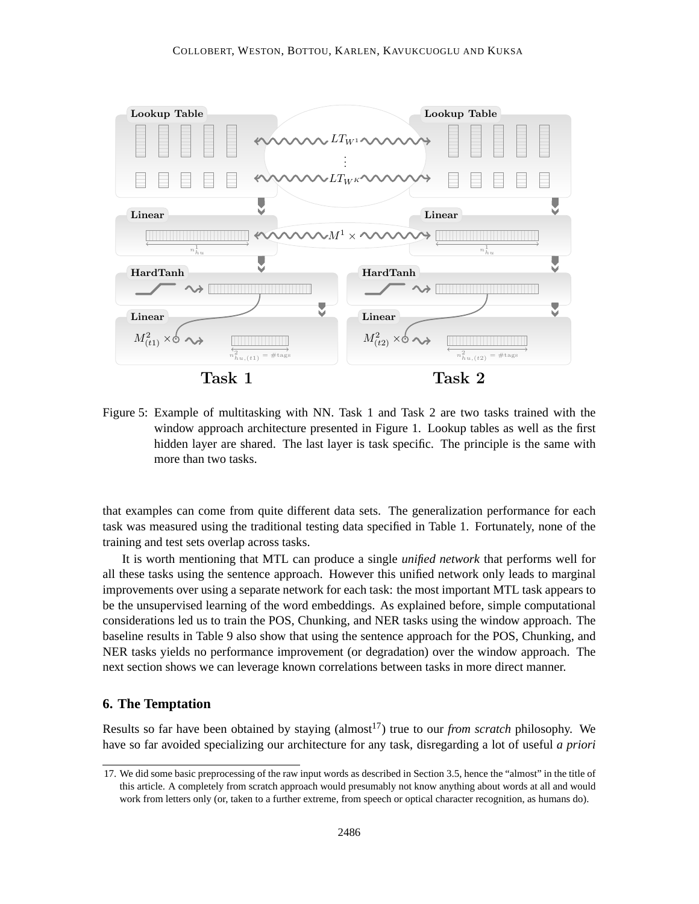

Figure 5: Example of multitasking with NN. Task 1 and Task 2 are two tasks trained with the window approach architecture presented in Figure 1. Lookup tables as well as the first hidden layer are shared. The last layer is task specific. The principle is the same with more than two tasks.

that examples can come from quite different data sets. The generalization performance for each task was measured using the traditional testing data specified in Table 1. Fortunately, none of the training and test sets overlap across tasks.

It is worth mentioning that MTL can produce a single *unified network* that performs well for all these tasks using the sentence approach. However this unified network only leads to marginal improvements over using a separate network for each task: the most important MTL task appears to be the unsupervised learning of the word embeddings. As explained before, simple computational considerations led us to train the POS, Chunking, and NER tasks using the window approach. The baseline results in Table 9 also show that using the sentence approach for the POS, Chunking, and NER tasks yields no performance improvement (or degradation) over the window approach. The next section shows we can leverage known correlations between tasks in more direct manner.

## **6. The Temptation**

Results so far have been obtained by staying (almost<sup>17</sup>) true to our *from scratch* philosophy. We have so far avoided specializing our architecture for any task, disregarding a lot of useful *a priori*

<sup>17.</sup> We did some basic preprocessing of the raw input words as described in Section 3.5, hence the "almost" in the title of this article. A completely from scratch approach would presumably not know anything about words at all and would work from letters only (or, taken to a further extreme, from speech or optical character recognition, as humans do).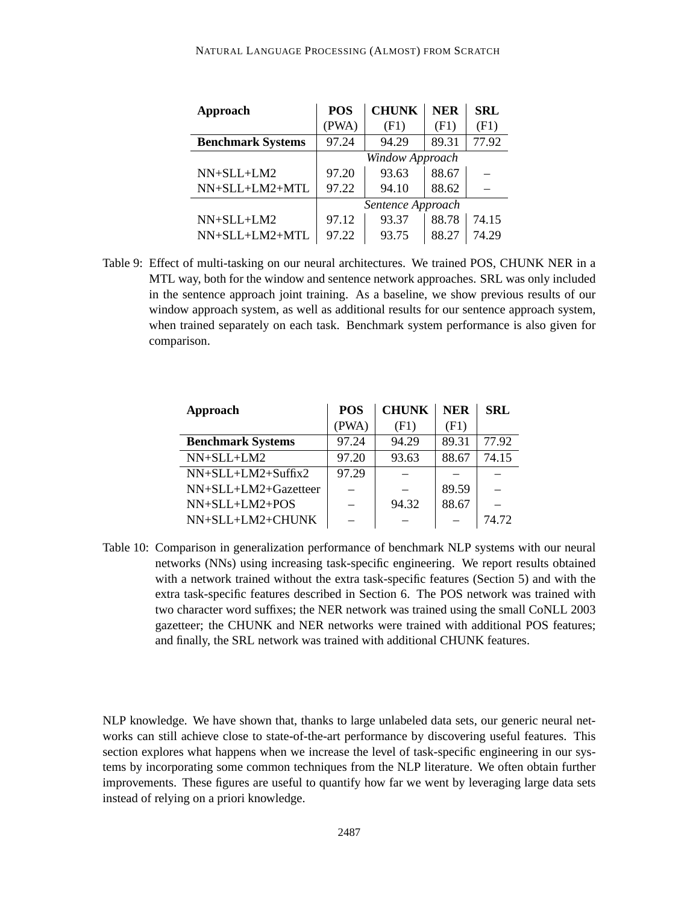| Approach                 | <b>POS</b>        | <b>CHUNK</b> | <b>NER</b> | <b>SRL</b> |
|--------------------------|-------------------|--------------|------------|------------|
|                          | (PWA)             | (F1)         | (F1)       | (F1)       |
| <b>Benchmark Systems</b> | 97.24             | 94.29        | 89.31      | 77.92      |
|                          | Window Approach   |              |            |            |
| $NN+SLL+LM2$             | 97.20             | 93.63        | 88.67      |            |
| NN+SLL+LM2+MTL           | 97.22             | 94.10        | 88.62      |            |
|                          | Sentence Approach |              |            |            |
| NN+SLL+LM2               | 97.12             | 93.37        | 88.78      | 74.15      |
| $NN+SLL+LM2+MTL$         | 97.22             | 93.75        | 88.27      | 74.29      |

Table 9: Effect of multi-tasking on our neural architectures. We trained POS, CHUNK NER in a MTL way, both for the window and sentence network approaches. SRL was only included in the sentence approach joint training. As a baseline, we show previous results of our window approach system, as well as additional results for our sentence approach system, when trained separately on each task. Benchmark system performance is also given for comparison.

| Approach                 | <b>POS</b> | <b>CHUNK</b> | <b>NER</b> | <b>SRL</b> |
|--------------------------|------------|--------------|------------|------------|
|                          | (PWA)      | (F1)         | (F1)       |            |
| <b>Benchmark Systems</b> | 97.24      | 94.29        | 89.31      | 77.92      |
| NN+SLL+LM2               | 97.20      | 93.63        | 88.67      | 74.15      |
| $NN+SLL+LM2+Suffix2$     | 97.29      |              |            |            |
| $NN+SLL+LM2+Gazetteer$   |            |              | 89.59      |            |
| NN+SLL+LM2+POS           |            | 94.32        | 88.67      |            |
| NN+SLL+LM2+CHUNK         |            |              |            | 74.72      |

Table 10: Comparison in generalization performance of benchmark NLP systems with our neural networks (NNs) using increasing task-specific engineering. We report results obtained with a network trained without the extra task-specific features (Section 5) and with the extra task-specific features described in Section 6. The POS network was trained with two character word suffixes; the NER network was trained using the small CoNLL 2003 gazetteer; the CHUNK and NER networks were trained with additional POS features; and finally, the SRL network was trained with additional CHUNK features.

NLP knowledge. We have shown that, thanks to large unlabeled data sets, our generic neural networks can still achieve close to state-of-the-art performance by discovering useful features. This section explores what happens when we increase the level of task-specific engineering in our systems by incorporating some common techniques from the NLP literature. We often obtain further improvements. These figures are useful to quantify how far we went by leveraging large data sets instead of relying on a priori knowledge.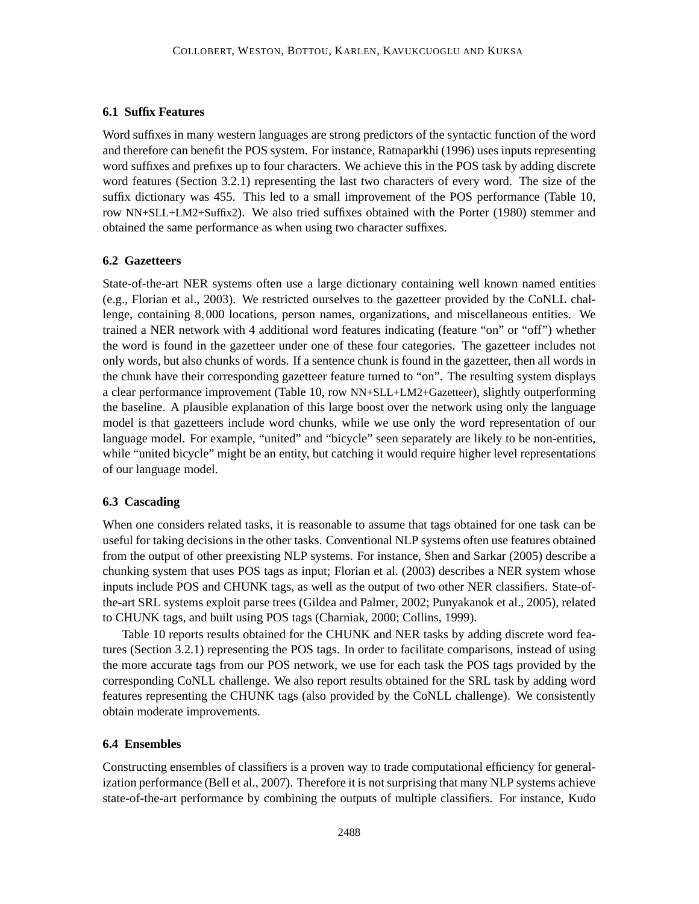## **6.1 Suffix Features**

Word suffixes in many western languages are strong predictors of the syntactic function of the word and therefore can benefit the POS system. For instance, Ratnaparkhi (1996) uses inputs representing word suffixes and prefixes up to four characters. We achieve this in the POS task by adding discrete word features (Section 3.2.1) representing the last two characters of every word. The size of the suffix dictionary was 455. This led to a small improvement of the POS performance (Table 10, row NN+SLL+LM2+Suffix2). We also tried suffixes obtained with the Porter (1980) stemmer and obtained the same performance as when using two character suffixes.

## **6.2 Gazetteers**

State-of-the-art NER systems often use a large dictionary containing well known named entities (e.g., Florian et al., 2003). We restricted ourselves to the gazetteer provided by the CoNLL challenge, containing 8,000 locations, person names, organizations, and miscellaneous entities. We trained a NER network with 4 additional word features indicating (feature "on" or "off") whether the word is found in the gazetteer under one of these four categories. The gazetteer includes not only words, but also chunks of words. If a sentence chunk is found in the gazetteer, then all words in the chunk have their corresponding gazetteer feature turned to "on". The resulting system displays a clear performance improvement (Table 10, row NN+SLL+LM2+Gazetteer), slightly outperforming the baseline. A plausible explanation of this large boost over the network using only the language model is that gazetteers include word chunks, while we use only the word representation of our language model. For example, "united" and "bicycle" seen separately are likely to be non-entities, while "united bicycle" might be an entity, but catching it would require higher level representations of our language model.

## **6.3 Cascading**

When one considers related tasks, it is reasonable to assume that tags obtained for one task can be useful for taking decisions in the other tasks. Conventional NLP systems often use features obtained from the output of other preexisting NLP systems. For instance, Shen and Sarkar (2005) describe a chunking system that uses POS tags as input; Florian et al. (2003) describes a NER system whose inputs include POS and CHUNK tags, as well as the output of two other NER classifiers. State-ofthe-art SRL systems exploit parse trees (Gildea and Palmer, 2002; Punyakanok et al., 2005), related to CHUNK tags, and built using POS tags (Charniak, 2000; Collins, 1999).

Table 10 reports results obtained for the CHUNK and NER tasks by adding discrete word features (Section 3.2.1) representing the POS tags. In order to facilitate comparisons, instead of using the more accurate tags from our POS network, we use for each task the POS tags provided by the corresponding CoNLL challenge. We also report results obtained for the SRL task by adding word features representing the CHUNK tags (also provided by the CoNLL challenge). We consistently obtain moderate improvements.

#### **6.4 Ensembles**

Constructing ensembles of classifiers is a proven way to trade computational efficiency for generalization performance (Bell et al., 2007). Therefore it is not surprising that many NLP systems achieve state-of-the-art performance by combining the outputs of multiple classifiers. For instance, Kudo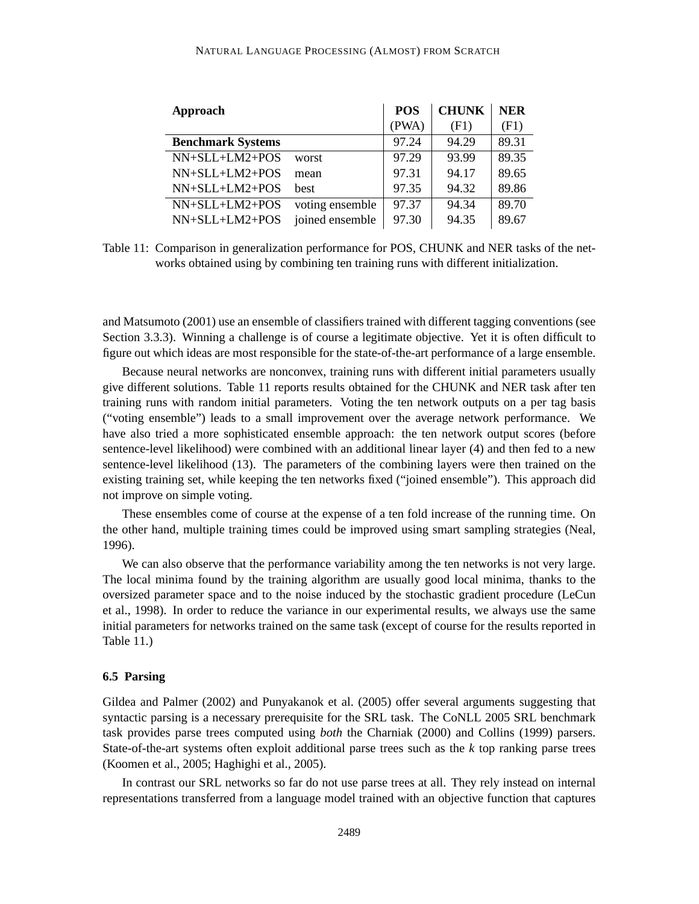#### NATURAL LANGUAGE PROCESSING (ALMOST) FROM SCRATCH

| <b>Approach</b>          |                 | <b>POS</b> | <b>CHUNK</b> | <b>NER</b> |
|--------------------------|-----------------|------------|--------------|------------|
|                          |                 | (PWA)      | (F1)         | (F1)       |
| <b>Benchmark Systems</b> |                 | 97.24      | 94.29        | 89.31      |
| NN+SLL+LM2+POS           | worst           | 97.29      | 93.99        | 89.35      |
| $NN+SLL+LM2+POS$         | mean            | 97.31      | 94.17        | 89.65      |
| NN+SLL+LM2+POS           | best            | 97.35      | 94.32        | 89.86      |
| $NN+SLL+LM2+POS$         | voting ensemble | 97.37      | 94.34        | 89.70      |
| NN+SLL+LM2+POS           | joined ensemble | 97.30      | 94.35        | 89.67      |

Table 11: Comparison in generalization performance for POS, CHUNK and NER tasks of the networks obtained using by combining ten training runs with different initialization.

and Matsumoto (2001) use an ensemble of classifiers trained with different tagging conventions (see Section 3.3.3). Winning a challenge is of course a legitimate objective. Yet it is often difficult to figure out which ideas are most responsible for the state-of-the-art performance of a large ensemble.

Because neural networks are nonconvex, training runs with different initial parameters usually give different solutions. Table 11 reports results obtained for the CHUNK and NER task after ten training runs with random initial parameters. Voting the ten network outputs on a per tag basis ("voting ensemble") leads to a small improvement over the average network performance. We have also tried a more sophisticated ensemble approach: the ten network output scores (before sentence-level likelihood) were combined with an additional linear layer (4) and then fed to a new sentence-level likelihood (13). The parameters of the combining layers were then trained on the existing training set, while keeping the ten networks fixed ("joined ensemble"). This approach did not improve on simple voting.

These ensembles come of course at the expense of a ten fold increase of the running time. On the other hand, multiple training times could be improved using smart sampling strategies (Neal, 1996).

We can also observe that the performance variability among the ten networks is not very large. The local minima found by the training algorithm are usually good local minima, thanks to the oversized parameter space and to the noise induced by the stochastic gradient procedure (LeCun et al., 1998). In order to reduce the variance in our experimental results, we always use the same initial parameters for networks trained on the same task (except of course for the results reported in Table 11.)

### **6.5 Parsing**

Gildea and Palmer (2002) and Punyakanok et al. (2005) offer several arguments suggesting that syntactic parsing is a necessary prerequisite for the SRL task. The CoNLL 2005 SRL benchmark task provides parse trees computed using *both* the Charniak (2000) and Collins (1999) parsers. State-of-the-art systems often exploit additional parse trees such as the *k* top ranking parse trees (Koomen et al., 2005; Haghighi et al., 2005).

In contrast our SRL networks so far do not use parse trees at all. They rely instead on internal representations transferred from a language model trained with an objective function that captures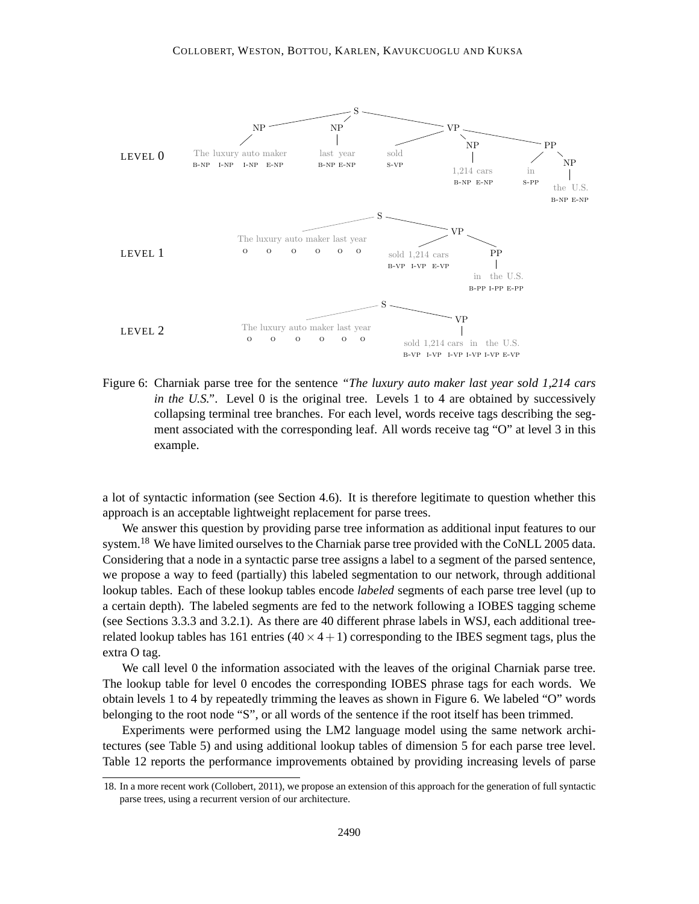

Figure 6: Charniak parse tree for the sentence *"The luxury auto maker last year sold 1,214 cars in the U.S."*. Level 0 is the original tree. Levels 1 to 4 are obtained by successively collapsing terminal tree branches. For each level, words receive tags describing the segment associated with the corresponding leaf. All words receive tag "O" at level 3 in this example.

a lot of syntactic information (see Section 4.6). It is therefore legitimate to question whether this approach is an acceptable lightweight replacement for parse trees.

We answer this question by providing parse tree information as additional input features to our system.<sup>18</sup> We have limited ourselves to the Charniak parse tree provided with the CoNLL 2005 data. Considering that a node in a syntactic parse tree assigns a label to a segment of the parsed sentence, we propose a way to feed (partially) this labeled segmentation to our network, through additional lookup tables. Each of these lookup tables encode *labeled* segments of each parse tree level (up to a certain depth). The labeled segments are fed to the network following a IOBES tagging scheme (see Sections 3.3.3 and 3.2.1). As there are 40 different phrase labels in WSJ, each additional treerelated lookup tables has 161 entries  $(40 \times 4 + 1)$  corresponding to the IBES segment tags, plus the extra O tag.

We call level 0 the information associated with the leaves of the original Charniak parse tree. The lookup table for level 0 encodes the corresponding IOBES phrase tags for each words. We obtain levels 1 to 4 by repeatedly trimming the leaves as shown in Figure 6. We labeled "O" words belonging to the root node "S", or all words of the sentence if the root itself has been trimmed.

Experiments were performed using the LM2 language model using the same network architectures (see Table 5) and using additional lookup tables of dimension 5 for each parse tree level. Table 12 reports the performance improvements obtained by providing increasing levels of parse

<sup>18.</sup> In a more recent work (Collobert, 2011), we propose an extension of this approach for the generation of full syntactic parse trees, using a recurrent version of our architecture.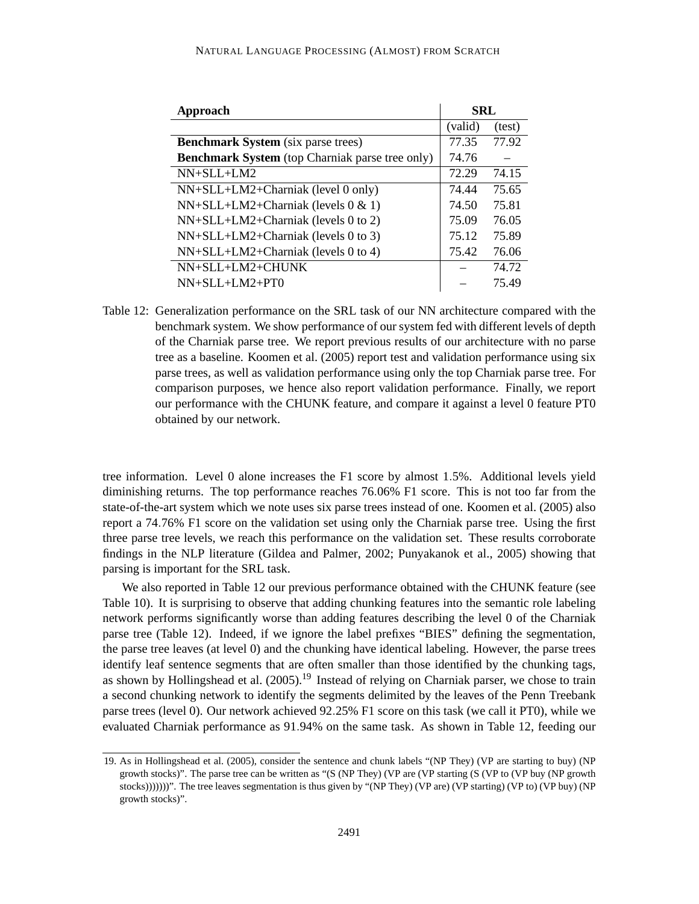| Approach                                               |         | <b>SRL</b> |
|--------------------------------------------------------|---------|------------|
|                                                        | (valid) | (test)     |
| <b>Benchmark System</b> (six parse trees)              | 77.35   | 77.92      |
| <b>Benchmark System</b> (top Charniak parse tree only) | 74.76   |            |
| $NN+SLI+LM2$                                           | 72.29   | 74.15      |
| $NN+SLL+LM2+Charniak$ (level 0 only)                   | 74.44   | 75.65      |
| $NN+SLL+LM2+Charniak$ (levels 0 & 1)                   | 74.50   | 75.81      |
| $NN+SLL+LM2+Charniak$ (levels 0 to 2)                  | 75.09   | 76.05      |
| $NN+SLL+LM2+Charniak$ (levels 0 to 3)                  | 75.12   | 75.89      |
| $NN+SLL+LM2+Charniak$ (levels 0 to 4)                  | 75.42   | 76.06      |
| NN+SLL+LM2+CHUNK                                       |         | 74.72      |
| $NN+SLL+LM2+PT0$                                       |         | 75.49      |

Table 12: Generalization performance on the SRL task of our NN architecture compared with the benchmark system. We show performance of our system fed with different levels of depth of the Charniak parse tree. We report previous results of our architecture with no parse tree as a baseline. Koomen et al. (2005) report test and validation performance using six parse trees, as well as validation performance using only the top Charniak parse tree. For comparison purposes, we hence also report validation performance. Finally, we report our performance with the CHUNK feature, and compare it against a level 0 feature PT0 obtained by our network.

tree information. Level 0 alone increases the F1 score by almost 1.5%. Additional levels yield diminishing returns. The top performance reaches 76.06% F1 score. This is not too far from the state-of-the-art system which we note uses six parse trees instead of one. Koomen et al. (2005) also report a 74.76% F1 score on the validation set using only the Charniak parse tree. Using the first three parse tree levels, we reach this performance on the validation set. These results corroborate findings in the NLP literature (Gildea and Palmer, 2002; Punyakanok et al., 2005) showing that parsing is important for the SRL task.

We also reported in Table 12 our previous performance obtained with the CHUNK feature (see Table 10). It is surprising to observe that adding chunking features into the semantic role labeling network performs significantly worse than adding features describing the level 0 of the Charniak parse tree (Table 12). Indeed, if we ignore the label prefixes "BIES" defining the segmentation, the parse tree leaves (at level 0) and the chunking have identical labeling. However, the parse trees identify leaf sentence segments that are often smaller than those identified by the chunking tags, as shown by Hollingshead et al.  $(2005)$ <sup>19</sup> Instead of relying on Charniak parser, we chose to train a second chunking network to identify the segments delimited by the leaves of the Penn Treebank parse trees (level 0). Our network achieved 92.25% F1 score on this task (we call it PT0), while we evaluated Charniak performance as 91.94% on the same task. As shown in Table 12, feeding our

<sup>19.</sup> As in Hollingshead et al. (2005), consider the sentence and chunk labels "(NP They) (VP are starting to buy) (NP growth stocks)". The parse tree can be written as "(S (NP They) (VP are (VP starting (S (VP to (VP buy (NP growth stocks)))))))". The tree leaves segmentation is thus given by "(NP They) (VP are) (VP starting) (VP to) (VP buy) (NP growth stocks)".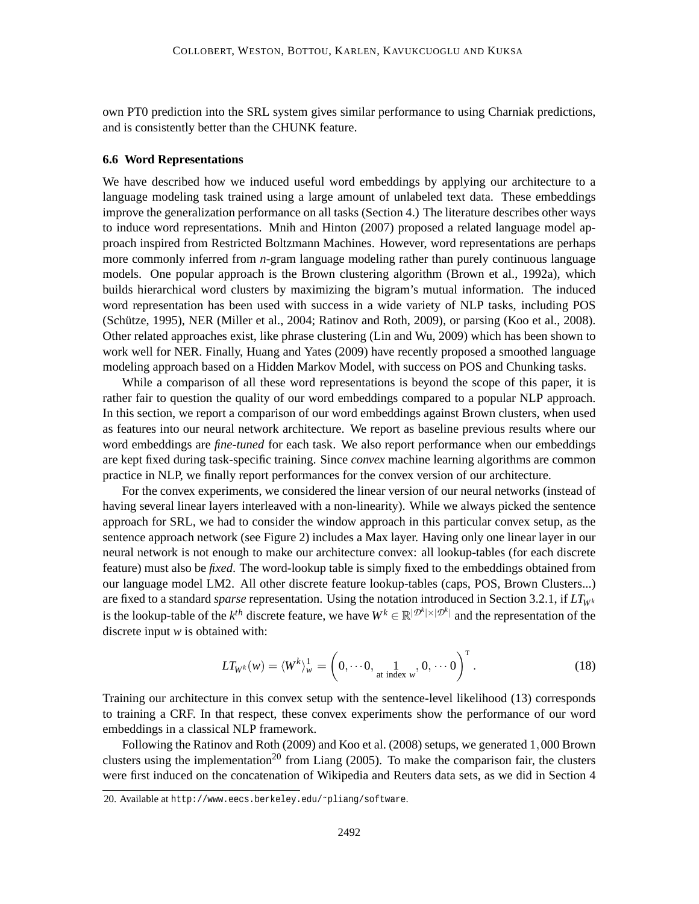own PT0 prediction into the SRL system gives similar performance to using Charniak predictions, and is consistently better than the CHUNK feature.

#### **6.6 Word Representations**

We have described how we induced useful word embeddings by applying our architecture to a language modeling task trained using a large amount of unlabeled text data. These embeddings improve the generalization performance on all tasks (Section 4.) The literature describes other ways to induce word representations. Mnih and Hinton (2007) proposed a related language model approach inspired from Restricted Boltzmann Machines. However, word representations are perhaps more commonly inferred from *n*-gram language modeling rather than purely continuous language models. One popular approach is the Brown clustering algorithm (Brown et al., 1992a), which builds hierarchical word clusters by maximizing the bigram's mutual information. The induced word representation has been used with success in a wide variety of NLP tasks, including POS  $(Schütze, 1995)$ , NER (Miller et al., 2004; Ratinov and Roth, 2009), or parsing  $(Koo et al., 2008)$ . Other related approaches exist, like phrase clustering (Lin and Wu, 2009) which has been shown to work well for NER. Finally, Huang and Yates (2009) have recently proposed a smoothed language modeling approach based on a Hidden Markov Model, with success on POS and Chunking tasks.

While a comparison of all these word representations is beyond the scope of this paper, it is rather fair to question the quality of our word embeddings compared to a popular NLP approach. In this section, we report a comparison of our word embeddings against Brown clusters, when used as features into our neural network architecture. We report as baseline previous results where our word embeddings are *fine-tuned* for each task. We also report performance when our embeddings are kept fixed during task-specific training. Since *convex* machine learning algorithms are common practice in NLP, we finally report performances for the convex version of our architecture.

For the convex experiments, we considered the linear version of our neural networks (instead of having several linear layers interleaved with a non-linearity). While we always picked the sentence approach for SRL, we had to consider the window approach in this particular convex setup, as the sentence approach network (see Figure 2) includes a Max layer. Having only one linear layer in our neural network is not enough to make our architecture convex: all lookup-tables (for each discrete feature) must also be *fixed*. The word-lookup table is simply fixed to the embeddings obtained from our language model LM2. All other discrete feature lookup-tables (caps, POS, Brown Clusters...) are fixed to a standard *sparse* representation. Using the notation introduced in Section 3.2.1, if  $LT_{W^k}$ is the lookup-table of the  $k^{th}$  discrete feature, we have  $W^k \in \mathbb{R}^{|\mathcal{D}^k| \times |\mathcal{D}^k|}$  and the representation of the discrete input *w* is obtained with:

$$
LT_{W^k}(w) = \langle W^k \rangle^1_w = \left(0, \cdots 0, \lim_{\text{at index } w} 0, \cdots 0\right)^{\text{T}}.
$$
 (18)

Training our architecture in this convex setup with the sentence-level likelihood (13) corresponds to training a CRF. In that respect, these convex experiments show the performance of our word embeddings in a classical NLP framework.

Following the Ratinov and Roth (2009) and Koo et al. (2008) setups, we generated 1,000 Brown clusters using the implementation<sup>20</sup> from Liang (2005). To make the comparison fair, the clusters were first induced on the concatenation of Wikipedia and Reuters data sets, as we did in Section 4

<sup>20.</sup> Available at http://www.eecs.berkeley.edu/~pliang/software.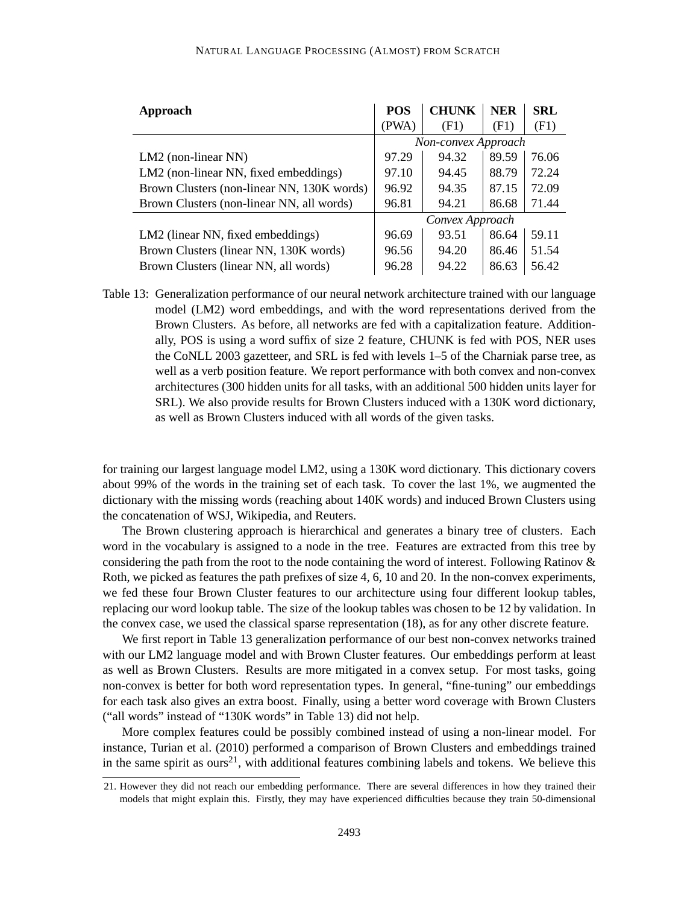| <b>Approach</b>                            | <b>POS</b>          | <b>CHUNK</b> | <b>NER</b> | SRL   |
|--------------------------------------------|---------------------|--------------|------------|-------|
|                                            | (PWA)               | (F1)         | (F1)       | (F1)  |
|                                            | Non-convex Approach |              |            |       |
| $LM2$ (non-linear NN)                      | 97.29               | 94.32        | 89.59      | 76.06 |
| LM2 (non-linear NN, fixed embeddings)      | 97.10               | 94.45        | 88.79      | 72.24 |
| Brown Clusters (non-linear NN, 130K words) | 96.92               | 94.35        | 87.15      | 72.09 |
| Brown Clusters (non-linear NN, all words)  | 96.81               | 94.21        | 86.68      | 71.44 |
|                                            | Convex Approach     |              |            |       |
| LM2 (linear NN, fixed embeddings)          | 96.69               | 93.51        | 86.64      | 59.11 |
| Brown Clusters (linear NN, 130K words)     | 96.56               | 94.20        | 86.46      | 51.54 |
| Brown Clusters (linear NN, all words)      | 96.28               | 94.22        | 86.63      | 56.42 |

Table 13: Generalization performance of our neural network architecture trained with our language model (LM2) word embeddings, and with the word representations derived from the Brown Clusters. As before, all networks are fed with a capitalization feature. Additionally, POS is using a word suffix of size 2 feature, CHUNK is fed with POS, NER uses the CoNLL 2003 gazetteer, and SRL is fed with levels 1–5 of the Charniak parse tree, as well as a verb position feature. We report performance with both convex and non-convex architectures (300 hidden units for all tasks, with an additional 500 hidden units layer for SRL). We also provide results for Brown Clusters induced with a 130K word dictionary, as well as Brown Clusters induced with all words of the given tasks.

for training our largest language model LM2, using a 130K word dictionary. This dictionary covers about 99% of the words in the training set of each task. To cover the last 1%, we augmented the dictionary with the missing words (reaching about 140K words) and induced Brown Clusters using the concatenation of WSJ, Wikipedia, and Reuters.

The Brown clustering approach is hierarchical and generates a binary tree of clusters. Each word in the vocabulary is assigned to a node in the tree. Features are extracted from this tree by considering the path from the root to the node containing the word of interest. Following Ratinov & Roth, we picked as features the path prefixes of size 4, 6, 10 and 20. In the non-convex experiments, we fed these four Brown Cluster features to our architecture using four different lookup tables, replacing our word lookup table. The size of the lookup tables was chosen to be 12 by validation. In the convex case, we used the classical sparse representation (18), as for any other discrete feature.

We first report in Table 13 generalization performance of our best non-convex networks trained with our LM2 language model and with Brown Cluster features. Our embeddings perform at least as well as Brown Clusters. Results are more mitigated in a convex setup. For most tasks, going non-convex is better for both word representation types. In general, "fine-tuning" our embeddings for each task also gives an extra boost. Finally, using a better word coverage with Brown Clusters ("all words" instead of "130K words" in Table 13) did not help.

More complex features could be possibly combined instead of using a non-linear model. For instance, Turian et al. (2010) performed a comparison of Brown Clusters and embeddings trained in the same spirit as  $ours<sup>21</sup>$ , with additional features combining labels and tokens. We believe this

<sup>21.</sup> However they did not reach our embedding performance. There are several differences in how they trained their models that might explain this. Firstly, they may have experienced difficulties because they train 50-dimensional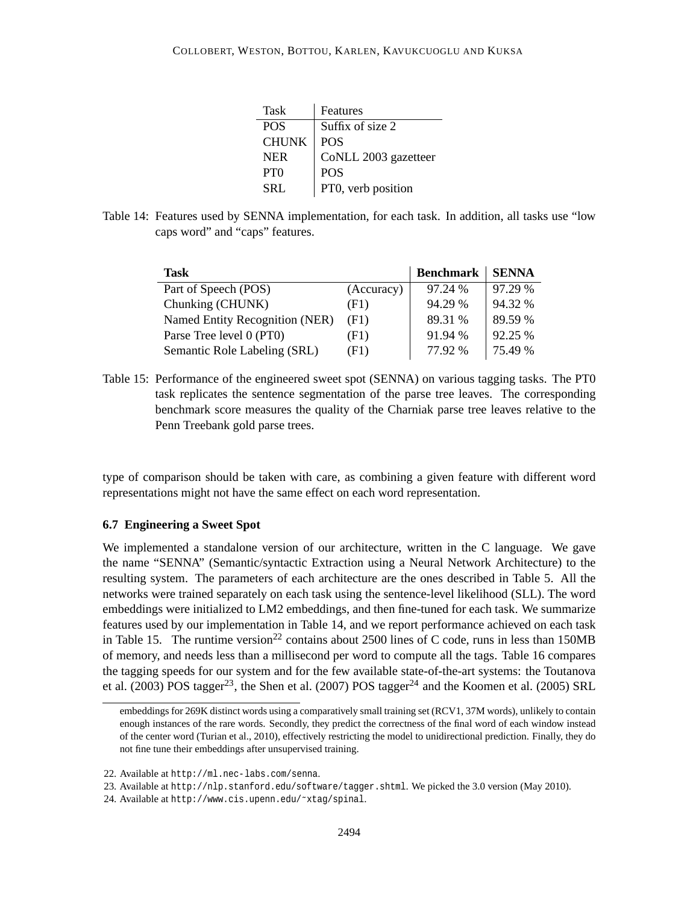| Task            | Features             |
|-----------------|----------------------|
| <b>POS</b>      | Suffix of size 2     |
| <b>CHUNK</b>    | <b>POS</b>           |
| <b>NER</b>      | CoNLL 2003 gazetteer |
| PT <sub>0</sub> | <b>POS</b>           |
| SRL             | PT0, verb position   |

Table 14: Features used by SENNA implementation, for each task. In addition, all tasks use "low caps word" and "caps" features.

| Task                           |            | <b>Benchmark</b> | <b>SENNA</b> |
|--------------------------------|------------|------------------|--------------|
| Part of Speech (POS)           | (Accuracy) | 97.24 %          | 97.29 %      |
| Chunking (CHUNK)               | (F1)       | 94.29 %          | 94.32 %      |
| Named Entity Recognition (NER) | (F1)       | 89.31 %          | 89.59 %      |
| Parse Tree level 0 (PT0)       | (F1)       | 91.94 %          | 92.25%       |
| Semantic Role Labeling (SRL)   | (F1)       | 77.92 %          | 75.49 %      |

Table 15: Performance of the engineered sweet spot (SENNA) on various tagging tasks. The PT0 task replicates the sentence segmentation of the parse tree leaves. The corresponding benchmark score measures the quality of the Charniak parse tree leaves relative to the Penn Treebank gold parse trees.

type of comparison should be taken with care, as combining a given feature with different word representations might not have the same effect on each word representation.

#### **6.7 Engineering a Sweet Spot**

We implemented a standalone version of our architecture, written in the C language. We gave the name "SENNA" (Semantic/syntactic Extraction using a Neural Network Architecture) to the resulting system. The parameters of each architecture are the ones described in Table 5. All the networks were trained separately on each task using the sentence-level likelihood (SLL). The word embeddings were initialized to LM2 embeddings, and then fine-tuned for each task. We summarize features used by our implementation in Table 14, and we report performance achieved on each task in Table 15. The runtime version<sup>22</sup> contains about 2500 lines of C code, runs in less than 150MB of memory, and needs less than a millisecond per word to compute all the tags. Table 16 compares the tagging speeds for our system and for the few available state-of-the-art systems: the Toutanova et al. (2003) POS tagger<sup>23</sup>, the Shen et al. (2007) POS tagger<sup>24</sup> and the Koomen et al. (2005) SRL

embeddings for 269K distinct words using a comparatively small training set (RCV1, 37M words), unlikely to contain enough instances of the rare words. Secondly, they predict the correctness of the final word of each window instead of the center word (Turian et al., 2010), effectively restricting the model to unidirectional prediction. Finally, they do not fine tune their embeddings after unsupervised training.

<sup>22.</sup> Available at http://ml.nec-labs.com/senna.

<sup>23.</sup> Available at http://nlp.stanford.edu/software/tagger.shtml. We picked the 3.0 version (May 2010).

<sup>24.</sup> Available at http://www.cis.upenn.edu/˜xtag/spinal.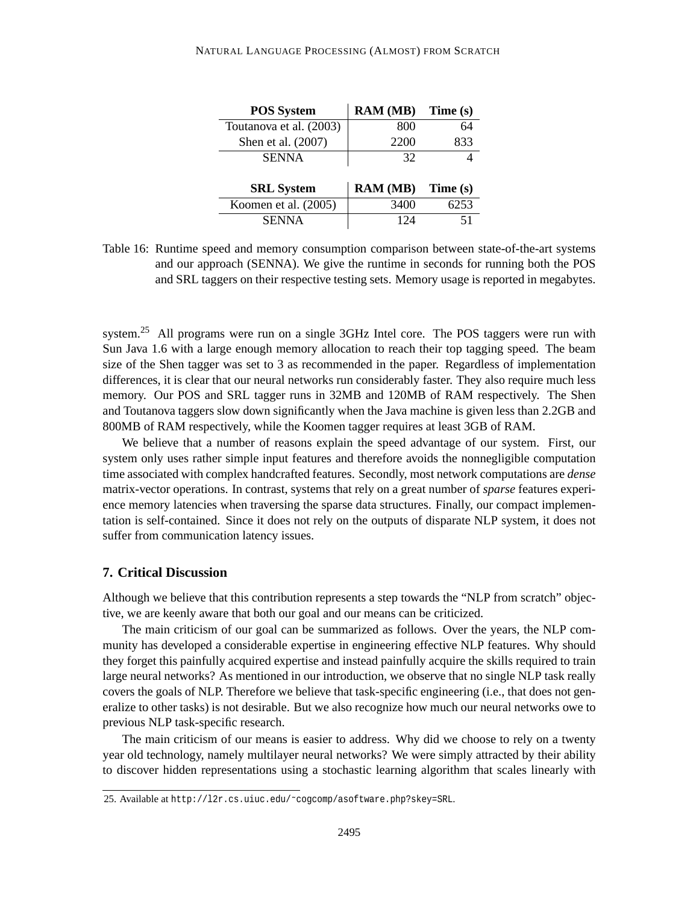| <b>POS System</b>       | <b>RAM</b> (MB) | Time (s) |
|-------------------------|-----------------|----------|
| Toutanova et al. (2003) | 800             | 64       |
| Shen et al. (2007)      | 2200            | 833      |
| <b>SENNA</b>            | 32              |          |
|                         |                 |          |
|                         |                 |          |
| <b>SRL</b> System       | <b>RAM</b> (MB) | Time (s) |
| Koomen et al. $(2005)$  | 3400            | 6253     |
| <b>SENNA</b>            | 124             |          |

Table 16: Runtime speed and memory consumption comparison between state-of-the-art systems and our approach (SENNA). We give the runtime in seconds for running both the POS and SRL taggers on their respective testing sets. Memory usage is reported in megabytes.

system.<sup>25</sup> All programs were run on a single  $3GHz$  Intel core. The POS taggers were run with Sun Java 1.6 with a large enough memory allocation to reach their top tagging speed. The beam size of the Shen tagger was set to 3 as recommended in the paper. Regardless of implementation differences, it is clear that our neural networks run considerably faster. They also require much less memory. Our POS and SRL tagger runs in 32MB and 120MB of RAM respectively. The Shen and Toutanova taggers slow down significantly when the Java machine is given less than 2.2GB and 800MB of RAM respectively, while the Koomen tagger requires at least 3GB of RAM.

We believe that a number of reasons explain the speed advantage of our system. First, our system only uses rather simple input features and therefore avoids the nonnegligible computation time associated with complex handcrafted features. Secondly, most network computations are *dense* matrix-vector operations. In contrast, systems that rely on a great number of *sparse* features experience memory latencies when traversing the sparse data structures. Finally, our compact implementation is self-contained. Since it does not rely on the outputs of disparate NLP system, it does not suffer from communication latency issues.

## **7. Critical Discussion**

Although we believe that this contribution represents a step towards the "NLP from scratch" objective, we are keenly aware that both our goal and our means can be criticized.

The main criticism of our goal can be summarized as follows. Over the years, the NLP community has developed a considerable expertise in engineering effective NLP features. Why should they forget this painfully acquired expertise and instead painfully acquire the skills required to train large neural networks? As mentioned in our introduction, we observe that no single NLP task really covers the goals of NLP. Therefore we believe that task-specific engineering (i.e., that does not generalize to other tasks) is not desirable. But we also recognize how much our neural networks owe to previous NLP task-specific research.

The main criticism of our means is easier to address. Why did we choose to rely on a twenty year old technology, namely multilayer neural networks? We were simply attracted by their ability to discover hidden representations using a stochastic learning algorithm that scales linearly with

<sup>25.</sup> Available at http://l2r.cs.uiuc.edu/˜cogcomp/asoftware.php?skey=SRL.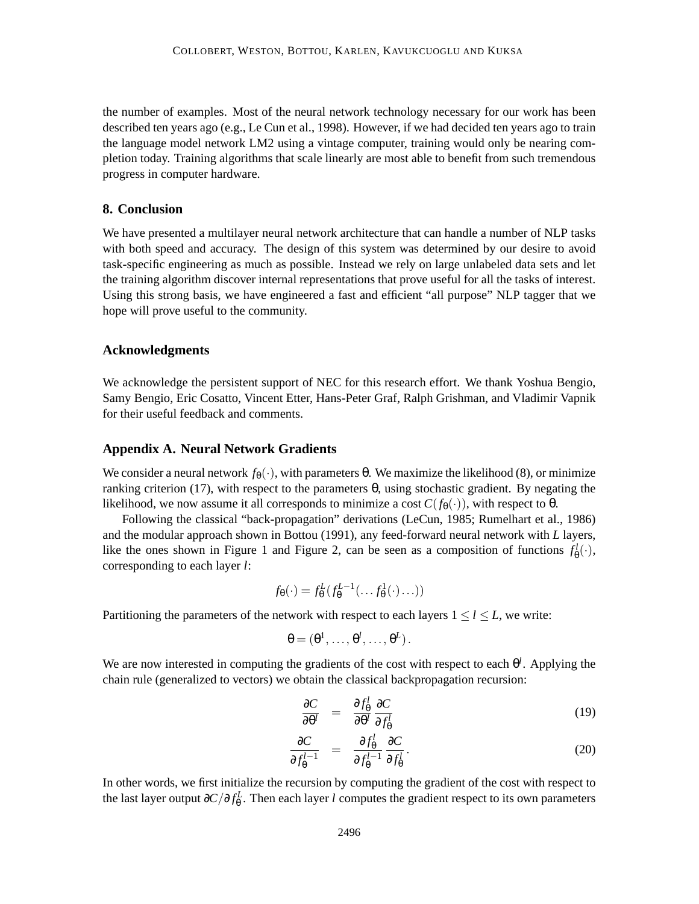the number of examples. Most of the neural network technology necessary for our work has been described ten years ago (e.g., Le Cun et al., 1998). However, if we had decided ten years ago to train the language model network LM2 using a vintage computer, training would only be nearing completion today. Training algorithms that scale linearly are most able to benefit from such tremendous progress in computer hardware.

## **8. Conclusion**

We have presented a multilayer neural network architecture that can handle a number of NLP tasks with both speed and accuracy. The design of this system was determined by our desire to avoid task-specific engineering as much as possible. Instead we rely on large unlabeled data sets and let the training algorithm discover internal representations that prove useful for all the tasks of interest. Using this strong basis, we have engineered a fast and efficient "all purpose" NLP tagger that we hope will prove useful to the community.

## **Acknowledgments**

We acknowledge the persistent support of NEC for this research effort. We thank Yoshua Bengio, Samy Bengio, Eric Cosatto, Vincent Etter, Hans-Peter Graf, Ralph Grishman, and Vladimir Vapnik for their useful feedback and comments.

### **Appendix A. Neural Network Gradients**

We consider a neural network  $f_\theta(\cdot)$ , with parameters θ. We maximize the likelihood (8), or minimize ranking criterion (17), with respect to the parameters θ, using stochastic gradient. By negating the likelihood, we now assume it all corresponds to minimize a cost  $C(f_{\theta}(\cdot))$ , with respect to  $\theta$ .

Following the classical "back-propagation" derivations (LeCun, 1985; Rumelhart et al., 1986) and the modular approach shown in Bottou (1991), any feed-forward neural network with *L* layers, like the ones shown in Figure 1 and Figure 2, can be seen as a composition of functions  $f^l_{\theta}(\cdot)$ , corresponding to each layer *l*:

$$
f_{\theta}(\cdot) = f_{\theta}^L(f_{\theta}^{L-1}(\ldots f_{\theta}^1(\cdot)\ldots))
$$

Partitioning the parameters of the network with respect to each layers  $1 \le l \le L$ , we write:

$$
\theta=(\theta^1,\ldots,\theta^l,\ldots,\theta^L).
$$

We are now interested in computing the gradients of the cost with respect to each  $\theta^l$ . Applying the chain rule (generalized to vectors) we obtain the classical backpropagation recursion:

$$
\frac{\partial C}{\partial \theta^l} = \frac{\partial f_{\theta}^l}{\partial \theta^l} \frac{\partial C}{\partial f_{\theta}^l}
$$
\n(19)

$$
\frac{\partial C}{\partial f_{\theta}^{l-1}} = \frac{\partial f_{\theta}^l}{\partial f_{\theta}^{l-1}} \frac{\partial C}{\partial f_{\theta}^l}.
$$
\n(20)

In other words, we first initialize the recursion by computing the gradient of the cost with respect to the last layer output  $\partial C/\partial f_0^L$ . Then each layer *l* computes the gradient respect to its own parameters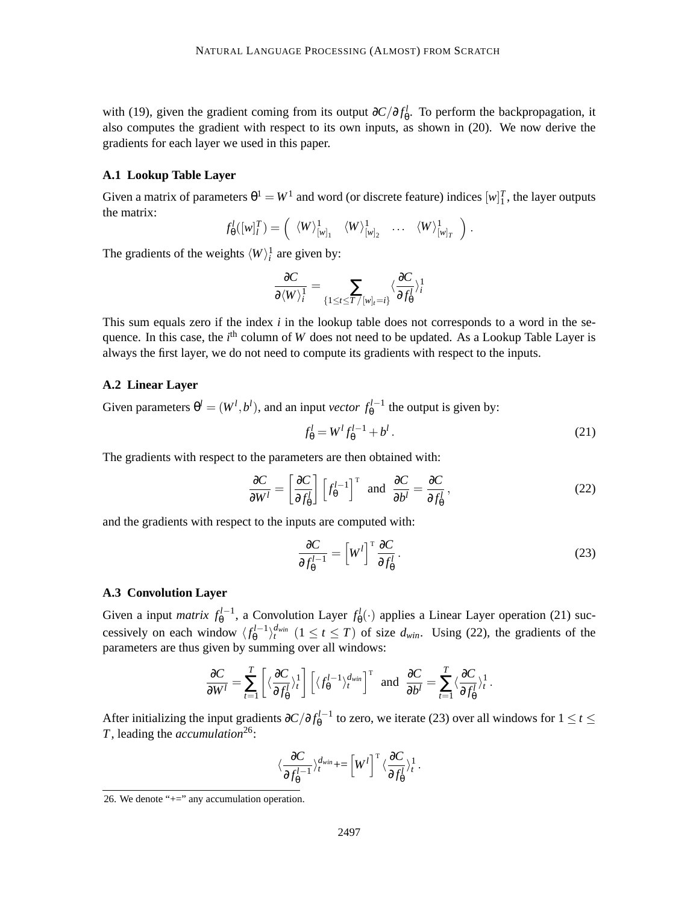with (19), given the gradient coming from its output  $\partial C/\partial f_{\theta}^l$ . To perform the backpropagation, it also computes the gradient with respect to its own inputs, as shown in (20). We now derive the gradients for each layer we used in this paper.

## **A.1 Lookup Table Layer**

Given a matrix of parameters  $\theta^1 = W^1$  and word (or discrete feature) indices  $[w]_1^T$ , the layer outputs the matrix:

$$
f_{\theta}^l([w]_l^T) = \left(\langle W \rangle^1_{[w]_1} \langle W \rangle^1_{[w]_2} \cdots \langle W \rangle^1_{[w]_T}\right).
$$

The gradients of the weights  $\langle W \rangle_i^1$  are given by:

$$
\frac{\partial C}{\partial \langle W \rangle_i^1} = \sum_{\{1 \leq t \leq T / [w]_t = i\}} \langle \frac{\partial C}{\partial f_0^l} \rangle_i^1
$$

This sum equals zero if the index *i* in the lookup table does not corresponds to a word in the sequence. In this case, the *i*<sup>th</sup> column of *W* does not need to be updated. As a Lookup Table Layer is always the first layer, we do not need to compute its gradients with respect to the inputs.

#### **A.2 Linear Layer**

Given parameters  $\theta^l = (W^l, b^l)$ , and an input *vector*  $f_{\theta}^{l-1}$  the output is given by:

$$
f_{\theta}^l = W^l f_{\theta}^{l-1} + b^l. \tag{21}
$$

The gradients with respect to the parameters are then obtained with:

$$
\frac{\partial C}{\partial W^l} = \left[\frac{\partial C}{\partial f^l_{\theta}}\right] \left[f^{l-1}_{\theta}\right]^\mathrm{T} \text{ and } \frac{\partial C}{\partial b^l} = \frac{\partial C}{\partial f^l_{\theta}},\tag{22}
$$

and the gradients with respect to the inputs are computed with:

$$
\frac{\partial C}{\partial f_{\theta}^{l-1}} = \left[W^l\right]^\mathrm{T} \frac{\partial C}{\partial f_{\theta}^l} \,. \tag{23}
$$

#### **A.3 Convolution Layer**

Given a input *matrix*  $f_{\theta}^{l-1}$ , a Convolution Layer  $f_{\theta}^{l}(\cdot)$  applies a Linear Layer operation (21) successively on each window  $\langle f_{\theta}^{l-1} \rangle_t^{d_{win}}$   $(1 \le t \le T)$  of size  $d_{win}$ . Using (22), the gradients of the parameters are thus given by summing over all windows:

$$
\frac{\partial C}{\partial W^l} = \sum_{t=1}^T \left[ \langle \frac{\partial C}{\partial f_0^l} \rangle_t^1 \right] \left[ \langle f_0^{l-1} \rangle_t^{d_{win}} \right]^\mathrm{T} \text{ and } \frac{\partial C}{\partial b^l} = \sum_{t=1}^T \langle \frac{\partial C}{\partial f_0^l} \rangle_t^1.
$$

After initializing the input gradients  $\partial C/\partial f_{\theta}^{l-1}$  to zero, we iterate (23) over all windows for  $1 \le t \le$ *T*, leading the *accumulation*26:

$$
\langle \frac{\partial C}{\partial f_{\theta}^{l-1}} \rangle_t^{d_{win}} + = \left[ W^l \right]^{\mathrm{T}} \langle \frac{\partial C}{\partial f_{\theta}^{l}} \rangle_t^1.
$$

<sup>26.</sup> We denote "+=" any accumulation operation.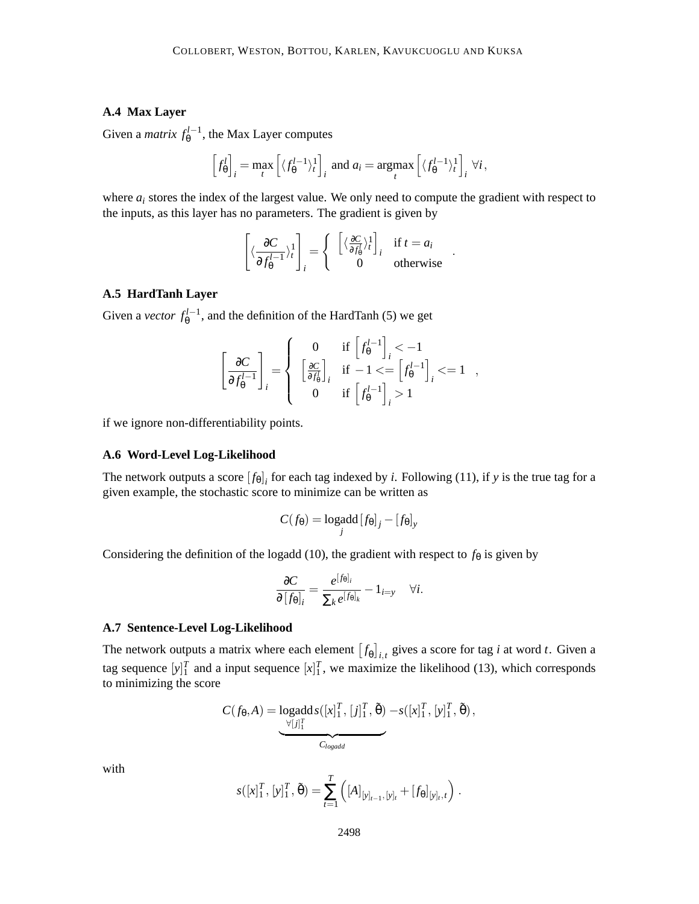## **A.4 Max Layer**

Given a *matrix*  $f_{\theta}^{l-1}$ , the Max Layer computes

$$
\left[f_{\theta}^l\right]_i = \max_t \left[ \langle f_{\theta}^{l-1} \rangle_t^1 \right]_i \text{ and } a_i = \operatorname*{argmax}_t \left[ \langle f_{\theta}^{l-1} \rangle_t^1 \right]_i \forall i,
$$

where  $a_i$  stores the index of the largest value. We only need to compute the gradient with respect to the inputs, as this layer has no parameters. The gradient is given by

$$
\begin{bmatrix} \langle \frac{\partial C}{\partial f_{\theta}^{l-1}} \rangle_t^1 \\ 0 \end{bmatrix}_i = \begin{cases} \begin{bmatrix} \langle \frac{\partial C}{\partial f_{\theta}^l} \rangle_t^1 \\ 0 \end{bmatrix}_i & \text{if } t = a_i \\ 0 & \text{otherwise} \end{cases}
$$

.

## **A.5 HardTanh Layer**

Given a *vector*  $f_{\theta}^{l-1}$ , and the definition of the HardTanh (5) we get

$$
\left[\frac{\partial C}{\partial f_{\theta}^{l-1}}\right]_i = \left\{\begin{array}{cc} 0 & \text{if}\,\left[f_{\theta}^{l-1}\right]_i < -1\\ \left[\frac{\partial C}{\partial f_{\theta}^l}\right]_i & \text{if}\,\, -1 <= \left[f_{\theta}^{l-1}\right]_i <= 1\\ 0 & \text{if}\,\left[f_{\theta}^{l-1}\right]_i > 1 \end{array}\right.,
$$

if we ignore non-differentiability points.

#### **A.6 Word-Level Log-Likelihood**

The network outputs a score  $[f_{\theta}]_i$  for each tag indexed by *i*. Following (11), if *y* is the true tag for a given example, the stochastic score to minimize can be written as

$$
C(f_{\theta}) = \underset{j}{\text{logadd}} [f_{\theta}]_j - [f_{\theta}]_y
$$

Considering the definition of the logadd (10), the gradient with respect to  $f_{\theta}$  is given by

$$
\frac{\partial C}{\partial [f_{\theta}]_i} = \frac{e^{[f_{\theta}]_i}}{\sum_k e^{[f_{\theta}]_k}} - 1_{i=y} \quad \forall i.
$$

## **A.7 Sentence-Level Log-Likelihood**

The network outputs a matrix where each element  $[f_{\theta}]_{i,t}$  gives a score for tag *i* at word *t*. Given a tag sequence  $[y]_1^T$  and a input sequence  $[x]_1^T$ , we maximize the likelihood (13), which corresponds to minimizing the score

$$
C(f_{\theta}, A) = \underset{\underbrace{\bigcup_{\forall [j]^T_1}}{C_{logadd}}} \underbrace{\log \det s([x]_1^T, [j]_1^T, \tilde{\theta}) - s([x]_1^T, [y]_1^T, \tilde{\theta})},
$$

with

$$
s([x]_1^T, [y]_1^T, \tilde{\theta}) = \sum_{t=1}^T ([A]_{[y]_{t-1}, [y]_t} + [f_{\theta}]_{[y]_t, t}) .
$$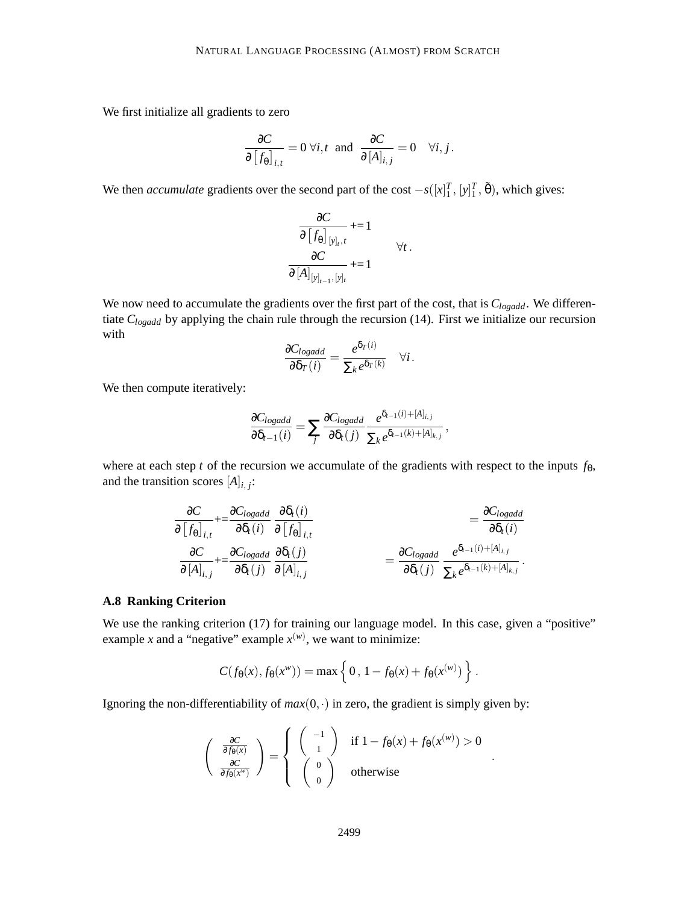We first initialize all gradients to zero

$$
\frac{\partial C}{\partial [f_{\theta}]_{i,t}} = 0 \,\forall i, t \text{ and } \frac{\partial C}{\partial [A]_{i,j}} = 0 \quad \forall i, j.
$$

We then *accumulate* gradients over the second part of the cost  $-s([x]_1^T, [y]_1^T, \tilde{\theta})$ , which gives:

$$
\frac{\partial C}{\partial [f_{\theta}]_{[y]_{t},t}} \qquad \qquad + = 1
$$
\n
$$
\frac{\partial C}{\partial [A]_{[y]_{t-1}, [y]_{t}}} \qquad \qquad \forall t.
$$

We now need to accumulate the gradients over the first part of the cost, that is *Clogadd*. We differentiate *Clogadd* by applying the chain rule through the recursion (14). First we initialize our recursion with

$$
\frac{\partial C_{logadd}}{\partial \delta_T(i)} = \frac{e^{\delta_T(i)}}{\sum_k e^{\delta_T(k)}} \quad \forall i.
$$

We then compute iteratively:

$$
\frac{\partial C_{logadd}}{\partial \delta_{t-1}(i)} = \sum_j \frac{\partial C_{logadd}}{\partial \delta_t(j)} \frac{e^{\delta_{t-1}(i) + [A]_{i,j}}}{\sum_k e^{\delta_{t-1}(k) + [A]_{k,j}}},
$$

where at each step *t* of the recursion we accumulate of the gradients with respect to the inputs  $f_{\theta}$ , and the transition scores  $[A]_{i,j}$ :

$$
\frac{\partial C}{\partial [f_{\theta}]_{i,t}} + \frac{\partial C_{logadd}}{\partial \delta_t(i)} \frac{\partial \delta_t(i)}{\partial [f_{\theta}]_{i,t}} = \frac{\partial C_{logadd}}{\partial \delta_t(i)} \n\frac{\partial C}{\partial [A]_{i,j}} + \frac{\partial C_{logadd}}{\partial \delta_t(j)} \frac{\partial \delta_t(j)}{\partial [A]_{i,j}} = \frac{\partial C_{logadd}}{\partial \delta_t(j)} \frac{e^{\delta_{t-1}(i) + [A]_{i,j}}}{\sum_k e^{\delta_{t-1}(k) + [A]_{k,j}}}.
$$

### **A.8 Ranking Criterion**

We use the ranking criterion (17) for training our language model. In this case, given a "positive" example *x* and a "negative" example  $x^{(w)}$ , we want to minimize:

$$
C(f_{\theta}(x), f_{\theta}(x^w)) = \max \left\{ 0, 1 - f_{\theta}(x) + f_{\theta}(x^{(w)}) \right\}.
$$

Ignoring the non-differentiability of  $max(0, \cdot)$  in zero, the gradient is simply given by:

$$
\begin{pmatrix}\n\frac{\partial C}{\partial f_{\theta}(x)} \\
\frac{\partial C}{\partial f_{\theta}(x^w)}\n\end{pmatrix} = \begin{cases}\n\begin{pmatrix}\n-1 \\
1\n\end{pmatrix} & \text{if } 1 - f_{\theta}(x) + f_{\theta}(x^{(w)}) > 0 \\
\begin{pmatrix}\n0 \\
0\n\end{pmatrix} & \text{otherwise}\n\end{cases}
$$

.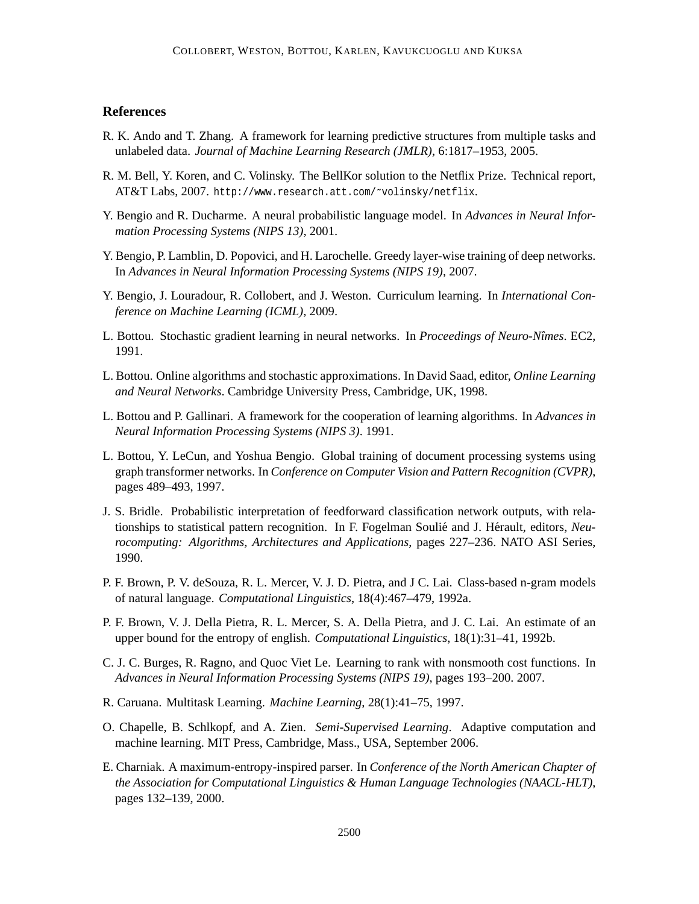## **References**

- R. K. Ando and T. Zhang. A framework for learning predictive structures from multiple tasks and unlabeled data. *Journal of Machine Learning Research (JMLR)*, 6:1817–1953, 2005.
- R. M. Bell, Y. Koren, and C. Volinsky. The BellKor solution to the Netflix Prize. Technical report, AT&T Labs, 2007. http://www.research.att.com/~volinsky/netflix.
- Y. Bengio and R. Ducharme. A neural probabilistic language model. In *Advances in Neural Information Processing Systems (NIPS 13)*, 2001.
- Y. Bengio, P. Lamblin, D. Popovici, and H. Larochelle. Greedy layer-wise training of deep networks. In *Advances in Neural Information Processing Systems (NIPS 19)*, 2007.
- Y. Bengio, J. Louradour, R. Collobert, and J. Weston. Curriculum learning. In *International Conference on Machine Learning (ICML)*, 2009.
- L. Bottou. Stochastic gradient learning in neural networks. In *Proceedings of Neuro-Nîmes*. EC2, 1991.
- L. Bottou. Online algorithms and stochastic approximations. In David Saad, editor, *Online Learning and Neural Networks*. Cambridge University Press, Cambridge, UK, 1998.
- L. Bottou and P. Gallinari. A framework for the cooperation of learning algorithms. In *Advances in Neural Information Processing Systems (NIPS 3)*. 1991.
- L. Bottou, Y. LeCun, and Yoshua Bengio. Global training of document processing systems using graph transformer networks. In *Conference on Computer Vision and Pattern Recognition (CVPR)*, pages 489–493, 1997.
- J. S. Bridle. Probabilistic interpretation of feedforward classification network outputs, with relationships to statistical pattern recognition. In F. Fogelman Soulié and J. Hérault, editors, *Neurocomputing: Algorithms, Architectures and Applications*, pages 227–236. NATO ASI Series, 1990.
- P. F. Brown, P. V. deSouza, R. L. Mercer, V. J. D. Pietra, and J C. Lai. Class-based n-gram models of natural language. *Computational Linguistics*, 18(4):467–479, 1992a.
- P. F. Brown, V. J. Della Pietra, R. L. Mercer, S. A. Della Pietra, and J. C. Lai. An estimate of an upper bound for the entropy of english. *Computational Linguistics*, 18(1):31–41, 1992b.
- C. J. C. Burges, R. Ragno, and Quoc Viet Le. Learning to rank with nonsmooth cost functions. In *Advances in Neural Information Processing Systems (NIPS 19)*, pages 193–200. 2007.
- R. Caruana. Multitask Learning. *Machine Learning*, 28(1):41–75, 1997.
- O. Chapelle, B. Schlkopf, and A. Zien. *Semi-Supervised Learning*. Adaptive computation and machine learning. MIT Press, Cambridge, Mass., USA, September 2006.
- E. Charniak. A maximum-entropy-inspired parser. In *Conference of the North American Chapter of the Association for Computational Linguistics & Human Language Technologies (NAACL-HLT)*, pages 132–139, 2000.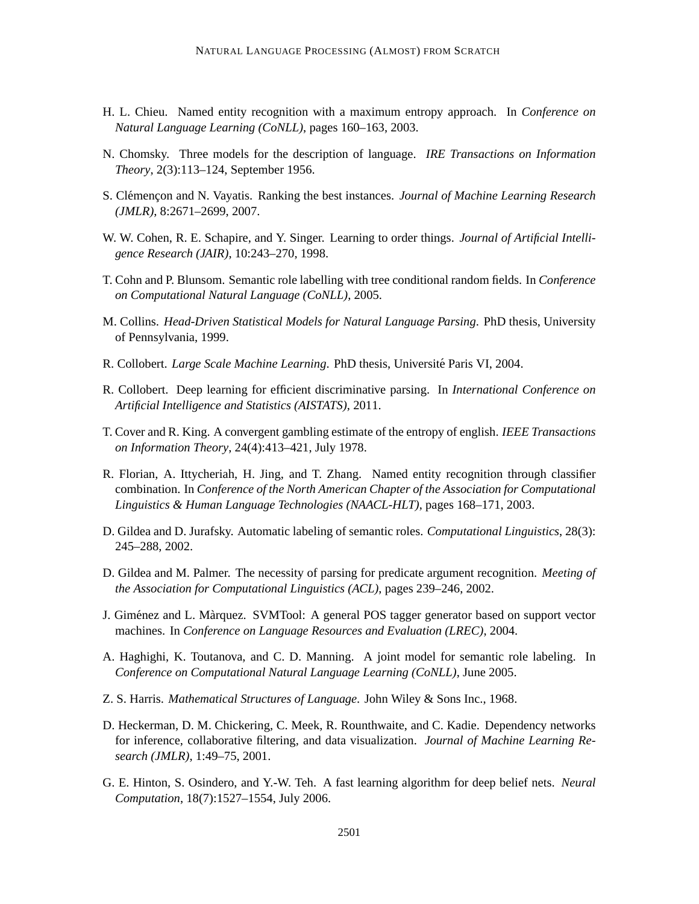- H. L. Chieu. Named entity recognition with a maximum entropy approach. In *Conference on Natural Language Learning (CoNLL)*, pages 160–163, 2003.
- N. Chomsky. Three models for the description of language. *IRE Transactions on Information Theory*, 2(3):113–124, September 1956.
- S. Clémençon and N. Vayatis. Ranking the best instances. *Journal of Machine Learning Research (JMLR)*, 8:2671–2699, 2007.
- W. W. Cohen, R. E. Schapire, and Y. Singer. Learning to order things. *Journal of Artificial Intelligence Research (JAIR)*, 10:243–270, 1998.
- T. Cohn and P. Blunsom. Semantic role labelling with tree conditional random fields. In *Conference on Computational Natural Language (CoNLL)*, 2005.
- M. Collins. *Head-Driven Statistical Models for Natural Language Parsing*. PhD thesis, University of Pennsylvania, 1999.
- R. Collobert. *Large Scale Machine Learning*. PhD thesis, Université Paris VI, 2004.
- R. Collobert. Deep learning for efficient discriminative parsing. In *International Conference on Artificial Intelligence and Statistics (AISTATS)*, 2011.
- T. Cover and R. King. A convergent gambling estimate of the entropy of english. *IEEE Transactions on Information Theory*, 24(4):413–421, July 1978.
- R. Florian, A. Ittycheriah, H. Jing, and T. Zhang. Named entity recognition through classifier combination. In *Conference of the North American Chapter of the Association for Computational Linguistics & Human Language Technologies (NAACL-HLT)*, pages 168–171, 2003.
- D. Gildea and D. Jurafsky. Automatic labeling of semantic roles. *Computational Linguistics*, 28(3): 245–288, 2002.
- D. Gildea and M. Palmer. The necessity of parsing for predicate argument recognition. *Meeting of the Association for Computational Linguistics (ACL)*, pages 239–246, 2002.
- J. Giménez and L. Màrquez. SVMTool: A general POS tagger generator based on support vector machines. In *Conference on Language Resources and Evaluation (LREC)*, 2004.
- A. Haghighi, K. Toutanova, and C. D. Manning. A joint model for semantic role labeling. In *Conference on Computational Natural Language Learning (CoNLL)*, June 2005.
- Z. S. Harris. *Mathematical Structures of Language*. John Wiley & Sons Inc., 1968.
- D. Heckerman, D. M. Chickering, C. Meek, R. Rounthwaite, and C. Kadie. Dependency networks for inference, collaborative filtering, and data visualization. *Journal of Machine Learning Research (JMLR)*, 1:49–75, 2001.
- G. E. Hinton, S. Osindero, and Y.-W. Teh. A fast learning algorithm for deep belief nets. *Neural Computation*, 18(7):1527–1554, July 2006.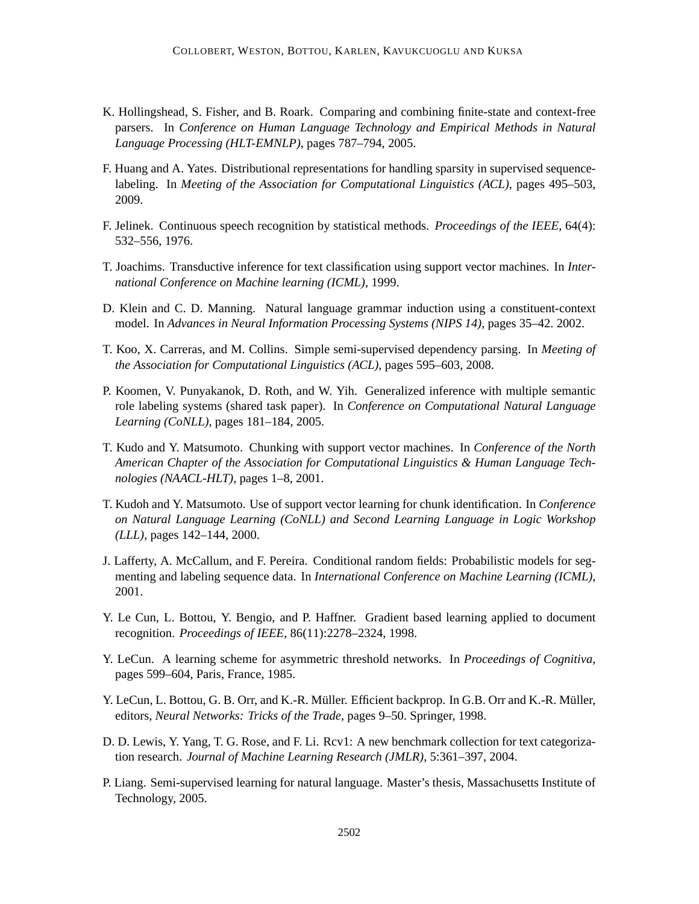- K. Hollingshead, S. Fisher, and B. Roark. Comparing and combining finite-state and context-free parsers. In *Conference on Human Language Technology and Empirical Methods in Natural Language Processing (HLT-EMNLP)*, pages 787–794, 2005.
- F. Huang and A. Yates. Distributional representations for handling sparsity in supervised sequencelabeling. In *Meeting of the Association for Computational Linguistics (ACL)*, pages 495–503, 2009.
- F. Jelinek. Continuous speech recognition by statistical methods. *Proceedings of the IEEE*, 64(4): 532–556, 1976.
- T. Joachims. Transductive inference for text classification using support vector machines. In *International Conference on Machine learning (ICML)*, 1999.
- D. Klein and C. D. Manning. Natural language grammar induction using a constituent-context model. In *Advances in Neural Information Processing Systems (NIPS 14)*, pages 35–42. 2002.
- T. Koo, X. Carreras, and M. Collins. Simple semi-supervised dependency parsing. In *Meeting of the Association for Computational Linguistics (ACL)*, pages 595–603, 2008.
- P. Koomen, V. Punyakanok, D. Roth, and W. Yih. Generalized inference with multiple semantic role labeling systems (shared task paper). In *Conference on Computational Natural Language Learning (CoNLL)*, pages 181–184, 2005.
- T. Kudo and Y. Matsumoto. Chunking with support vector machines. In *Conference of the North American Chapter of the Association for Computational Linguistics & Human Language Technologies (NAACL-HLT)*, pages 1–8, 2001.
- T. Kudoh and Y. Matsumoto. Use of support vector learning for chunk identification. In *Conference on Natural Language Learning (CoNLL) and Second Learning Language in Logic Workshop (LLL)*, pages 142–144, 2000.
- J. Lafferty, A. McCallum, and F. Pereira. Conditional random fields: Probabilistic models for segmenting and labeling sequence data. In *International Conference on Machine Learning (ICML)*, 2001.
- Y. Le Cun, L. Bottou, Y. Bengio, and P. Haffner. Gradient based learning applied to document recognition. *Proceedings of IEEE*, 86(11):2278–2324, 1998.
- Y. LeCun. A learning scheme for asymmetric threshold networks. In *Proceedings of Cognitiva*, pages 599–604, Paris, France, 1985.
- Y. LeCun, L. Bottou, G. B. Orr, and K.-R. Müller. Efficient backprop. In G.B. Orr and K.-R. Müller, editors, *Neural Networks: Tricks of the Trade*, pages 9–50. Springer, 1998.
- D. D. Lewis, Y. Yang, T. G. Rose, and F. Li. Rcv1: A new benchmark collection for text categorization research. *Journal of Machine Learning Research (JMLR)*, 5:361–397, 2004.
- P. Liang. Semi-supervised learning for natural language. Master's thesis, Massachusetts Institute of Technology, 2005.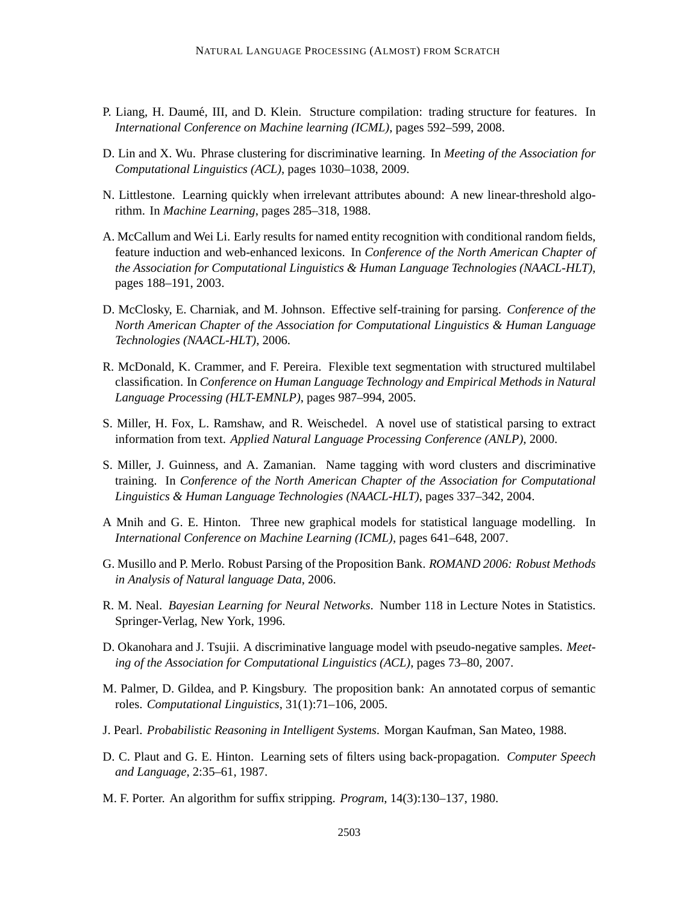- P. Liang, H. Daumé, III, and D. Klein. Structure compilation: trading structure for features. In *International Conference on Machine learning (ICML)*, pages 592–599, 2008.
- D. Lin and X. Wu. Phrase clustering for discriminative learning. In *Meeting of the Association for Computational Linguistics (ACL)*, pages 1030–1038, 2009.
- N. Littlestone. Learning quickly when irrelevant attributes abound: A new linear-threshold algorithm. In *Machine Learning*, pages 285–318, 1988.
- A. McCallum and Wei Li. Early results for named entity recognition with conditional random fields, feature induction and web-enhanced lexicons. In *Conference of the North American Chapter of the Association for Computational Linguistics & Human Language Technologies (NAACL-HLT)*, pages 188–191, 2003.
- D. McClosky, E. Charniak, and M. Johnson. Effective self-training for parsing. *Conference of the North American Chapter of the Association for Computational Linguistics & Human Language Technologies (NAACL-HLT)*, 2006.
- R. McDonald, K. Crammer, and F. Pereira. Flexible text segmentation with structured multilabel classification. In *Conference on Human Language Technology and Empirical Methods in Natural Language Processing (HLT-EMNLP)*, pages 987–994, 2005.
- S. Miller, H. Fox, L. Ramshaw, and R. Weischedel. A novel use of statistical parsing to extract information from text. *Applied Natural Language Processing Conference (ANLP)*, 2000.
- S. Miller, J. Guinness, and A. Zamanian. Name tagging with word clusters and discriminative training. In *Conference of the North American Chapter of the Association for Computational Linguistics & Human Language Technologies (NAACL-HLT)*, pages 337–342, 2004.
- A Mnih and G. E. Hinton. Three new graphical models for statistical language modelling. In *International Conference on Machine Learning (ICML)*, pages 641–648, 2007.
- G. Musillo and P. Merlo. Robust Parsing of the Proposition Bank. *ROMAND 2006: Robust Methods in Analysis of Natural language Data*, 2006.
- R. M. Neal. *Bayesian Learning for Neural Networks*. Number 118 in Lecture Notes in Statistics. Springer-Verlag, New York, 1996.
- D. Okanohara and J. Tsujii. A discriminative language model with pseudo-negative samples. *Meeting of the Association for Computational Linguistics (ACL)*, pages 73–80, 2007.
- M. Palmer, D. Gildea, and P. Kingsbury. The proposition bank: An annotated corpus of semantic roles. *Computational Linguistics*, 31(1):71–106, 2005.
- J. Pearl. *Probabilistic Reasoning in Intelligent Systems*. Morgan Kaufman, San Mateo, 1988.
- D. C. Plaut and G. E. Hinton. Learning sets of filters using back-propagation. *Computer Speech and Language*, 2:35–61, 1987.
- M. F. Porter. An algorithm for suffix stripping. *Program*, 14(3):130–137, 1980.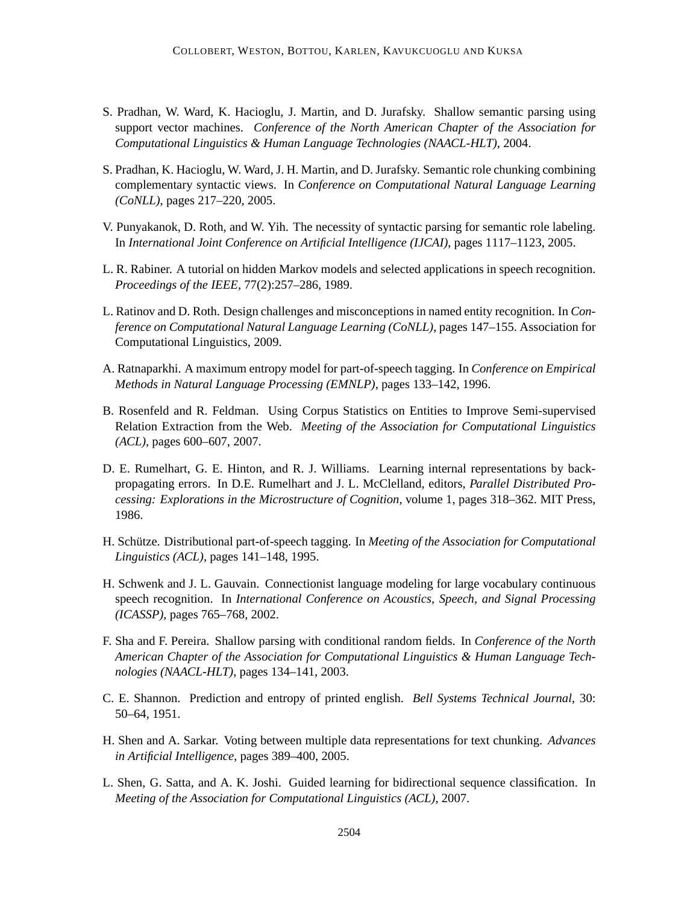- S. Pradhan, W. Ward, K. Hacioglu, J. Martin, and D. Jurafsky. Shallow semantic parsing using support vector machines. *Conference of the North American Chapter of the Association for Computational Linguistics & Human Language Technologies (NAACL-HLT)*, 2004.
- S. Pradhan, K. Hacioglu, W. Ward, J. H. Martin, and D. Jurafsky. Semantic role chunking combining complementary syntactic views. In *Conference on Computational Natural Language Learning (CoNLL)*, pages 217–220, 2005.
- V. Punyakanok, D. Roth, and W. Yih. The necessity of syntactic parsing for semantic role labeling. In *International Joint Conference on Artificial Intelligence (IJCAI)*, pages 1117–1123, 2005.
- L. R. Rabiner. A tutorial on hidden Markov models and selected applications in speech recognition. *Proceedings of the IEEE*, 77(2):257–286, 1989.
- L. Ratinov and D. Roth. Design challenges and misconceptions in named entity recognition. In *Conference on Computational Natural Language Learning (CoNLL)*, pages 147–155. Association for Computational Linguistics, 2009.
- A. Ratnaparkhi. A maximum entropy model for part-of-speech tagging. In *Conference on Empirical Methods in Natural Language Processing (EMNLP)*, pages 133–142, 1996.
- B. Rosenfeld and R. Feldman. Using Corpus Statistics on Entities to Improve Semi-supervised Relation Extraction from the Web. *Meeting of the Association for Computational Linguistics (ACL)*, pages 600–607, 2007.
- D. E. Rumelhart, G. E. Hinton, and R. J. Williams. Learning internal representations by backpropagating errors. In D.E. Rumelhart and J. L. McClelland, editors, *Parallel Distributed Processing: Explorations in the Microstructure of Cognition*, volume 1, pages 318–362. MIT Press, 1986.
- H. Schütze. Distributional part-of-speech tagging. In *Meeting of the Association for Computational Linguistics (ACL)*, pages 141–148, 1995.
- H. Schwenk and J. L. Gauvain. Connectionist language modeling for large vocabulary continuous speech recognition. In *International Conference on Acoustics, Speech, and Signal Processing (ICASSP)*, pages 765–768, 2002.
- F. Sha and F. Pereira. Shallow parsing with conditional random fields. In *Conference of the North American Chapter of the Association for Computational Linguistics & Human Language Technologies (NAACL-HLT)*, pages 134–141, 2003.
- C. E. Shannon. Prediction and entropy of printed english. *Bell Systems Technical Journal*, 30: 50–64, 1951.
- H. Shen and A. Sarkar. Voting between multiple data representations for text chunking. *Advances in Artificial Intelligence*, pages 389–400, 2005.
- L. Shen, G. Satta, and A. K. Joshi. Guided learning for bidirectional sequence classification. In *Meeting of the Association for Computational Linguistics (ACL)*, 2007.